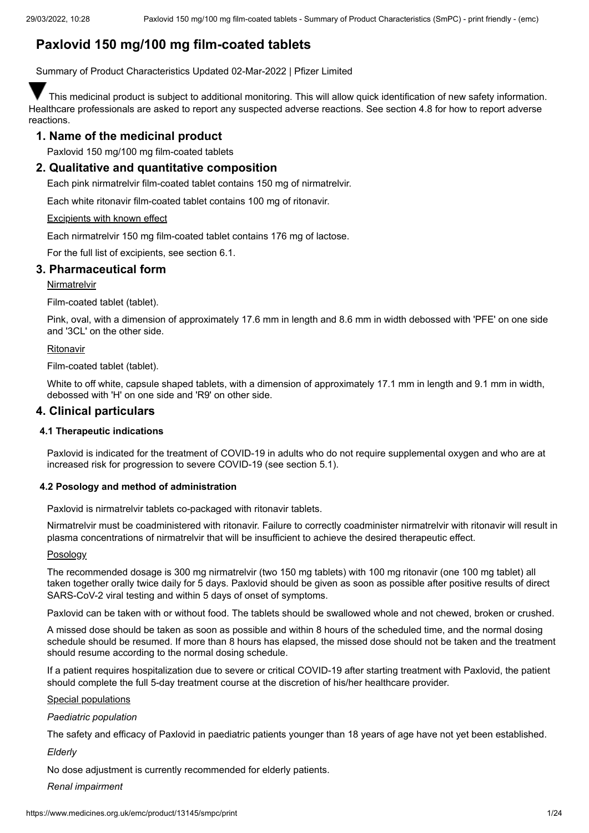# **Paxlovid 150 mg/100 mg film-coated tablets**

Summary of Product Characteristics Updated 02-Mar-2022 | Pfizer Limited

This medicinal product is subject to additional monitoring. This will allow quick identification of new safety information. Healthcare professionals are asked to report any suspected adverse reactions. See section 4.8 for how to report adverse reactions.

# **1. Name of the medicinal product**

Paxlovid 150 mg/100 mg film-coated tablets

# **2. Qualitative and quantitative composition**

Each pink nirmatrelvir film-coated tablet contains 150 mg of nirmatrelvir.

Each white ritonavir film-coated tablet contains 100 mg of ritonavir.

# Excipients with known effect

Each nirmatrelvir 150 mg film-coated tablet contains 176 mg of lactose.

For the full list of excipients, see section 6.1.

# **3. Pharmaceutical form**

**Nirmatrelvir** 

Film-coated tablet (tablet).

Pink, oval, with a dimension of approximately 17.6 mm in length and 8.6 mm in width debossed with 'PFE' on one side and '3CL' on the other side.

# Ritonavir

Film-coated tablet (tablet).

White to off white, capsule shaped tablets, with a dimension of approximately 17.1 mm in length and 9.1 mm in width, debossed with 'H' on one side and 'R9' on other side.

# **4. Clinical particulars**

# **4.1 Therapeutic indications**

Paxlovid is indicated for the treatment of COVID-19 in adults who do not require supplemental oxygen and who are at increased risk for progression to severe COVID-19 (see section 5.1).

# **4.2 Posology and method of administration**

Paxlovid is nirmatrelvir tablets co-packaged with ritonavir tablets.

Nirmatrelvir must be coadministered with ritonavir. Failure to correctly coadminister nirmatrelvir with ritonavir will result in plasma concentrations of nirmatrelvir that will be insufficient to achieve the desired therapeutic effect.

# Posology

The recommended dosage is 300 mg nirmatrelvir (two 150 mg tablets) with 100 mg ritonavir (one 100 mg tablet) all taken together orally twice daily for 5 days. Paxlovid should be given as soon as possible after positive results of direct SARS-CoV-2 viral testing and within 5 days of onset of symptoms.

Paxlovid can be taken with or without food. The tablets should be swallowed whole and not chewed, broken or crushed.

A missed dose should be taken as soon as possible and within 8 hours of the scheduled time, and the normal dosing schedule should be resumed. If more than 8 hours has elapsed, the missed dose should not be taken and the treatment should resume according to the normal dosing schedule.

If a patient requires hospitalization due to severe or critical COVID-19 after starting treatment with Paxlovid, the patient should complete the full 5-day treatment course at the discretion of his/her healthcare provider.

# Special populations

# *Paediatric population*

The safety and efficacy of Paxlovid in paediatric patients younger than 18 years of age have not yet been established.

*Elderly*

No dose adjustment is currently recommended for elderly patients.

*Renal impairment*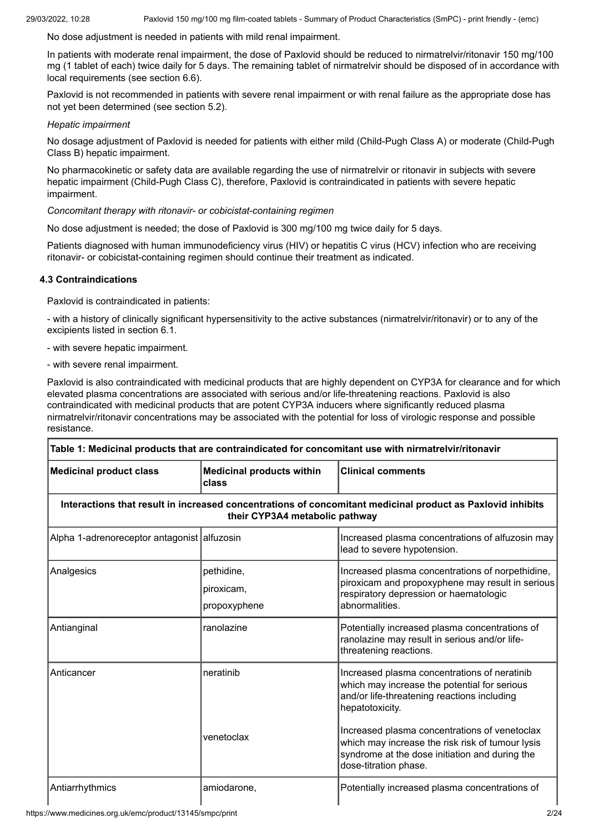No dose adjustment is needed in patients with mild renal impairment.

In patients with moderate renal impairment, the dose of Paxlovid should be reduced to nirmatrelvir/ritonavir 150 mg/100 mg (1 tablet of each) twice daily for 5 days. The remaining tablet of nirmatrelvir should be disposed of in accordance with local requirements (see section 6.6).

Paxlovid is not recommended in patients with severe renal impairment or with renal failure as the appropriate dose has not yet been determined (see section 5.2).

### *Hepatic impairment*

No dosage adjustment of Paxlovid is needed for patients with either mild (Child-Pugh Class A) or moderate (Child-Pugh Class B) hepatic impairment.

No pharmacokinetic or safety data are available regarding the use of nirmatrelvir or ritonavir in subjects with severe hepatic impairment (Child-Pugh Class C), therefore, Paxlovid is contraindicated in patients with severe hepatic impairment.

*Concomitant therapy with ritonavir- or cobicistat-containing regimen*

No dose adjustment is needed; the dose of Paxlovid is 300 mg/100 mg twice daily for 5 days.

Patients diagnosed with human immunodeficiency virus (HIV) or hepatitis C virus (HCV) infection who are receiving ritonavir- or cobicistat-containing regimen should continue their treatment as indicated.

# **4.3 Contraindications**

Paxlovid is contraindicated in patients:

- with a history of clinically significant hypersensitivity to the active substances (nirmatrelvir/ritonavir) or to any of the excipients listed in section 6.1.

- with severe hepatic impairment.
- with severe renal impairment.

Paxlovid is also contraindicated with medicinal products that are highly dependent on CYP3A for clearance and for which elevated plasma concentrations are associated with serious and/or life-threatening reactions. Paxlovid is also contraindicated with medicinal products that are potent CYP3A inducers where significantly reduced plasma nirmatrelvir/ritonavir concentrations may be associated with the potential for loss of virologic response and possible resistance.

| Table 1: Medicinal products that are contraindicated for concomitant use with nirmatrelvir/ritonavir |                                           |                                                                                                                                                                                                                                                                                                                                                |
|------------------------------------------------------------------------------------------------------|-------------------------------------------|------------------------------------------------------------------------------------------------------------------------------------------------------------------------------------------------------------------------------------------------------------------------------------------------------------------------------------------------|
| <b>Medicinal product class</b>                                                                       | <b>Medicinal products within</b><br>class | <b>Clinical comments</b>                                                                                                                                                                                                                                                                                                                       |
|                                                                                                      | their CYP3A4 metabolic pathway            | Interactions that result in increased concentrations of concomitant medicinal product as Paxlovid inhibits                                                                                                                                                                                                                                     |
| Alpha 1-adrenoreceptor antagonist alfuzosin                                                          |                                           | Increased plasma concentrations of alfuzosin may<br>lead to severe hypotension.                                                                                                                                                                                                                                                                |
| Analgesics                                                                                           | pethidine,<br>piroxicam,<br>propoxyphene  | Increased plasma concentrations of norpethidine,<br>piroxicam and propoxyphene may result in serious<br>respiratory depression or haematologic<br>abnormalities.                                                                                                                                                                               |
| Antianginal                                                                                          | ranolazine                                | Potentially increased plasma concentrations of<br>ranolazine may result in serious and/or life-<br>threatening reactions.                                                                                                                                                                                                                      |
| Anticancer                                                                                           | neratinib<br>venetoclax                   | Increased plasma concentrations of neratinib<br>which may increase the potential for serious<br>and/or life-threatening reactions including<br>hepatotoxicity.<br>Increased plasma concentrations of venetoclax<br>which may increase the risk risk of tumour lysis<br>syndrome at the dose initiation and during the<br>dose-titration phase. |
| Antiarrhythmics                                                                                      | amiodarone,                               | Potentially increased plasma concentrations of                                                                                                                                                                                                                                                                                                 |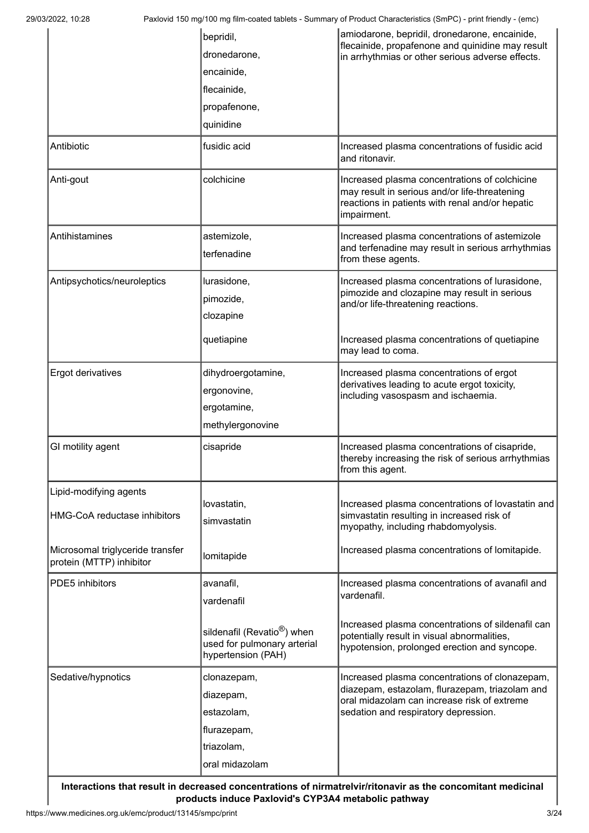|                                                              | bepridil,<br>dronedarone,<br>encainide,<br>flecainide,<br>propafenone,<br>quinidine          | amiodarone, bepridil, dronedarone, encainide,<br>flecainide, propafenone and quinidine may result<br>in arrhythmias or other serious adverse effects.                                   |
|--------------------------------------------------------------|----------------------------------------------------------------------------------------------|-----------------------------------------------------------------------------------------------------------------------------------------------------------------------------------------|
| Antibiotic                                                   | fusidic acid                                                                                 | Increased plasma concentrations of fusidic acid<br>and ritonavir.                                                                                                                       |
| Anti-gout                                                    | colchicine                                                                                   | Increased plasma concentrations of colchicine<br>may result in serious and/or life-threatening<br>reactions in patients with renal and/or hepatic<br>impairment.                        |
| Antihistamines                                               | astemizole,<br>terfenadine                                                                   | Increased plasma concentrations of astemizole<br>and terfenadine may result in serious arrhythmias<br>from these agents.                                                                |
| Antipsychotics/neuroleptics                                  | lurasidone,<br>pimozide,<br>clozapine<br>quetiapine                                          | Increased plasma concentrations of lurasidone,<br>pimozide and clozapine may result in serious<br>and/or life-threatening reactions.<br>Increased plasma concentrations of quetiapine   |
|                                                              |                                                                                              | may lead to coma.                                                                                                                                                                       |
| Ergot derivatives                                            | dihydroergotamine,<br>ergonovine,<br>ergotamine,<br>methylergonovine                         | Increased plasma concentrations of ergot<br>derivatives leading to acute ergot toxicity,<br>including vasospasm and ischaemia.                                                          |
| GI motility agent                                            | cisapride                                                                                    | Increased plasma concentrations of cisapride,<br>thereby increasing the risk of serious arrhythmias<br>from this agent.                                                                 |
| Lipid-modifying agents<br>HMG-CoA reductase inhibitors       | lovastatin,<br>simvastatin                                                                   | Increased plasma concentrations of lovastatin and<br>simvastatin resulting in increased risk of<br>myopathy, including rhabdomyolysis.                                                  |
| Microsomal triglyceride transfer<br>protein (MTTP) inhibitor | lomitapide                                                                                   | Increased plasma concentrations of lomitapide.                                                                                                                                          |
| PDE5 inhibitors                                              | avanafil,<br>vardenafil                                                                      | Increased plasma concentrations of avanafil and<br>vardenafil.                                                                                                                          |
|                                                              | sildenafil (Revatio <sup>®</sup> ) when<br>used for pulmonary arterial<br>hypertension (PAH) | Increased plasma concentrations of sildenafil can<br>potentially result in visual abnormalities,<br>hypotension, prolonged erection and syncope.                                        |
| Sedative/hypnotics                                           | clonazepam,<br>diazepam,<br>estazolam,<br>flurazepam,<br>triazolam,<br>oral midazolam        | Increased plasma concentrations of clonazepam,<br>diazepam, estazolam, flurazepam, triazolam and<br>oral midazolam can increase risk of extreme<br>sedation and respiratory depression. |

**Interactions that result in decreased concentrations of nirmatrelvir/ritonavir as the concomitant medicinal products induce Paxlovid's CYP3A4 metabolic pathway**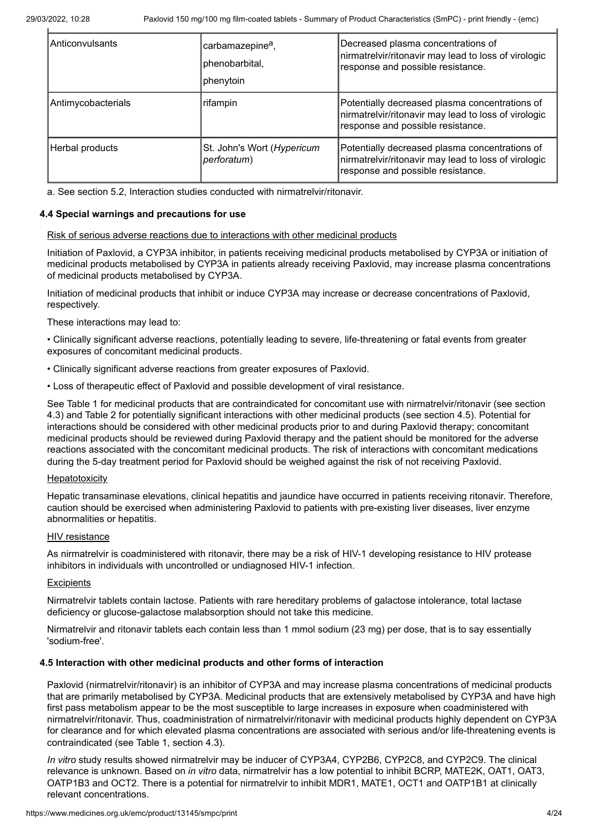| IAnticonvulsants   | carbamazepine <sup>a</sup> ,<br>phenobarbital,<br>phenytoin | Decreased plasma concentrations of<br>nirmatrelvir/ritonavir may lead to loss of virologic<br>response and possible resistance.             |
|--------------------|-------------------------------------------------------------|---------------------------------------------------------------------------------------------------------------------------------------------|
| Antimycobacterials | rifampin                                                    | Potentially decreased plasma concentrations of<br>nirmatrelvir/ritonavir may lead to loss of virologic<br>response and possible resistance. |
| Herbal products    | St. John's Wort (Hypericum<br>perforatum)                   | Potentially decreased plasma concentrations of<br>nirmatrelvir/ritonavir may lead to loss of virologic<br>response and possible resistance. |

a. See section 5.2, Interaction studies conducted with nirmatrelvir/ritonavir.

### **4.4 Special warnings and precautions for use**

#### Risk of serious adverse reactions due to interactions with other medicinal products

Initiation of Paxlovid, a CYP3A inhibitor, in patients receiving medicinal products metabolised by CYP3A or initiation of medicinal products metabolised by CYP3A in patients already receiving Paxlovid, may increase plasma concentrations of medicinal products metabolised by CYP3A.

Initiation of medicinal products that inhibit or induce CYP3A may increase or decrease concentrations of Paxlovid, respectively.

These interactions may lead to:

• Clinically significant adverse reactions, potentially leading to severe, life-threatening or fatal events from greater exposures of concomitant medicinal products.

• Clinically significant adverse reactions from greater exposures of Paxlovid.

• Loss of therapeutic effect of Paxlovid and possible development of viral resistance.

See Table 1 for medicinal products that are contraindicated for concomitant use with nirmatrelvir/ritonavir (see section 4.3) and Table 2 for potentially significant interactions with other medicinal products (see section 4.5). Potential for interactions should be considered with other medicinal products prior to and during Paxlovid therapy; concomitant medicinal products should be reviewed during Paxlovid therapy and the patient should be monitored for the adverse reactions associated with the concomitant medicinal products. The risk of interactions with concomitant medications during the 5-day treatment period for Paxlovid should be weighed against the risk of not receiving Paxlovid.

### **Hepatotoxicity**

Hepatic transaminase elevations, clinical hepatitis and jaundice have occurred in patients receiving ritonavir. Therefore, caution should be exercised when administering Paxlovid to patients with pre-existing liver diseases, liver enzyme abnormalities or hepatitis.

## HIV resistance

As nirmatrelvir is coadministered with ritonavir, there may be a risk of HIV-1 developing resistance to HIV protease inhibitors in individuals with uncontrolled or undiagnosed HIV-1 infection.

### **Excipients**

Nirmatrelvir tablets contain lactose. Patients with rare hereditary problems of galactose intolerance, total lactase deficiency or glucose-galactose malabsorption should not take this medicine.

Nirmatrelvir and ritonavir tablets each contain less than 1 mmol sodium (23 mg) per dose, that is to say essentially 'sodium-free'.

### **4.5 Interaction with other medicinal products and other forms of interaction**

Paxlovid (nirmatrelvir/ritonavir) is an inhibitor of CYP3A and may increase plasma concentrations of medicinal products that are primarily metabolised by CYP3A. Medicinal products that are extensively metabolised by CYP3A and have high first pass metabolism appear to be the most susceptible to large increases in exposure when coadministered with nirmatrelvir/ritonavir. Thus, coadministration of nirmatrelvir/ritonavir with medicinal products highly dependent on CYP3A for clearance and for which elevated plasma concentrations are associated with serious and/or life-threatening events is contraindicated (see Table 1, section 4.3).

*In vitro* study results showed nirmatrelvir may be inducer of CYP3A4, CYP2B6, CYP2C8, and CYP2C9. The clinical relevance is unknown. Based on *in vitro* data, nirmatrelvir has a low potential to inhibit BCRP, MATE2K, OAT1, OAT3, OATP1B3 and OCT2. There is a potential for nirmatrelvir to inhibit MDR1, MATE1, OCT1 and OATP1B1 at clinically relevant concentrations.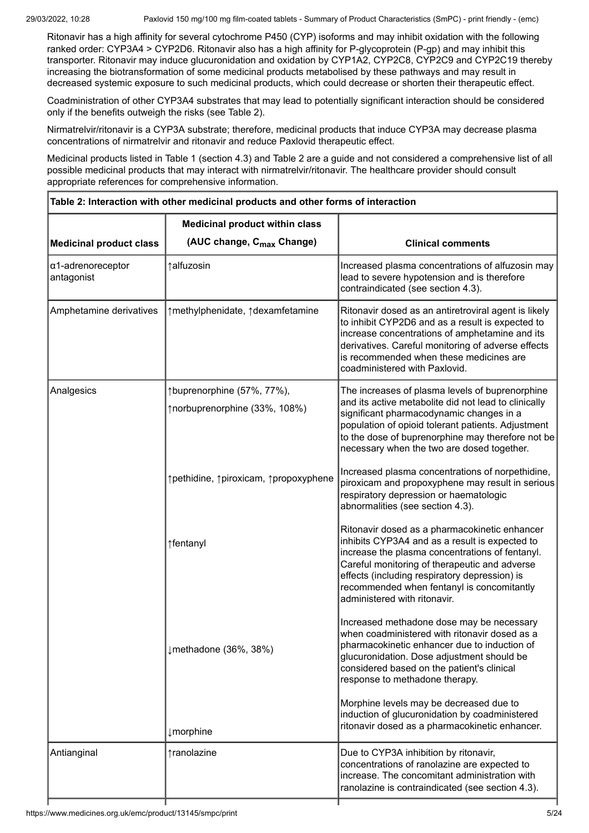Ritonavir has a high affinity for several cytochrome P450 (CYP) isoforms and may inhibit oxidation with the following ranked order: CYP3A4 > CYP2D6. Ritonavir also has a high affinity for P-glycoprotein (P-gp) and may inhibit this transporter. Ritonavir may induce glucuronidation and oxidation by CYP1A2, CYP2C8, CYP2C9 and CYP2C19 thereby increasing the biotransformation of some medicinal products metabolised by these pathways and may result in decreased systemic exposure to such medicinal products, which could decrease or shorten their therapeutic effect.

Coadministration of other CYP3A4 substrates that may lead to potentially significant interaction should be considered only if the benefits outweigh the risks (see Table 2).

Nirmatrelvir/ritonavir is a CYP3A substrate; therefore, medicinal products that induce CYP3A may decrease plasma concentrations of nirmatrelvir and ritonavir and reduce Paxlovid therapeutic effect.

Medicinal products listed in Table 1 (section 4.3) and Table 2 are a guide and not considered a comprehensive list of all possible medicinal products that may interact with nirmatrelvir/ritonavir. The healthcare provider should consult appropriate references for comprehensive information.

| Table 2: Interaction with other medicinal products and other forms of interaction |                                                             |                                                                                                                                                                                                                                                                                                                                    |  |
|-----------------------------------------------------------------------------------|-------------------------------------------------------------|------------------------------------------------------------------------------------------------------------------------------------------------------------------------------------------------------------------------------------------------------------------------------------------------------------------------------------|--|
| <b>Medicinal product within class</b>                                             |                                                             |                                                                                                                                                                                                                                                                                                                                    |  |
| <b>Medicinal product class</b>                                                    | (AUC change, C <sub>max</sub> Change)                       | <b>Clinical comments</b>                                                                                                                                                                                                                                                                                                           |  |
| α1-adrenoreceptor<br>antagonist                                                   | ↑alfuzosin                                                  | Increased plasma concentrations of alfuzosin may<br>lead to severe hypotension and is therefore<br>contraindicated (see section 4.3).                                                                                                                                                                                              |  |
| Amphetamine derivatives                                                           | ↑methylphenidate, ↑dexamfetamine                            | Ritonavir dosed as an antiretroviral agent is likely<br>to inhibit CYP2D6 and as a result is expected to<br>increase concentrations of amphetamine and its<br>derivatives. Careful monitoring of adverse effects<br>is recommended when these medicines are<br>coadministered with Paxlovid.                                       |  |
| Analgesics                                                                        | ↑buprenorphine (57%, 77%),<br>↑norbuprenorphine (33%, 108%) | The increases of plasma levels of buprenorphine<br>and its active metabolite did not lead to clinically<br>significant pharmacodynamic changes in a<br>population of opioid tolerant patients. Adjustment<br>to the dose of buprenorphine may therefore not be<br>necessary when the two are dosed together.                       |  |
|                                                                                   | ↑pethidine, ↑piroxicam, ↑propoxyphene                       | Increased plasma concentrations of norpethidine,<br>piroxicam and propoxyphene may result in serious<br>respiratory depression or haematologic<br>abnormalities (see section 4.3).                                                                                                                                                 |  |
|                                                                                   | ↑fentanyl                                                   | Ritonavir dosed as a pharmacokinetic enhancer<br>inhibits CYP3A4 and as a result is expected to<br>increase the plasma concentrations of fentanyl.<br>Careful monitoring of therapeutic and adverse<br>effects (including respiratory depression) is<br>recommended when fentanyl is concomitantly<br>administered with ritonavir. |  |
|                                                                                   | ↓methadone (36%, 38%)                                       | Increased methadone dose may be necessary<br>when coadministered with ritonavir dosed as a<br>pharmacokinetic enhancer due to induction of<br>glucuronidation. Dose adjustment should be<br>considered based on the patient's clinical<br>response to methadone therapy.                                                           |  |
|                                                                                   | <i>I</i> morphine                                           | Morphine levels may be decreased due to<br>induction of glucuronidation by coadministered<br>ritonavir dosed as a pharmacokinetic enhancer.                                                                                                                                                                                        |  |
| Antianginal                                                                       | ↑ranolazine                                                 | Due to CYP3A inhibition by ritonavir,<br>concentrations of ranolazine are expected to<br>increase. The concomitant administration with<br>ranolazine is contraindicated (see section 4.3).                                                                                                                                         |  |
|                                                                                   |                                                             |                                                                                                                                                                                                                                                                                                                                    |  |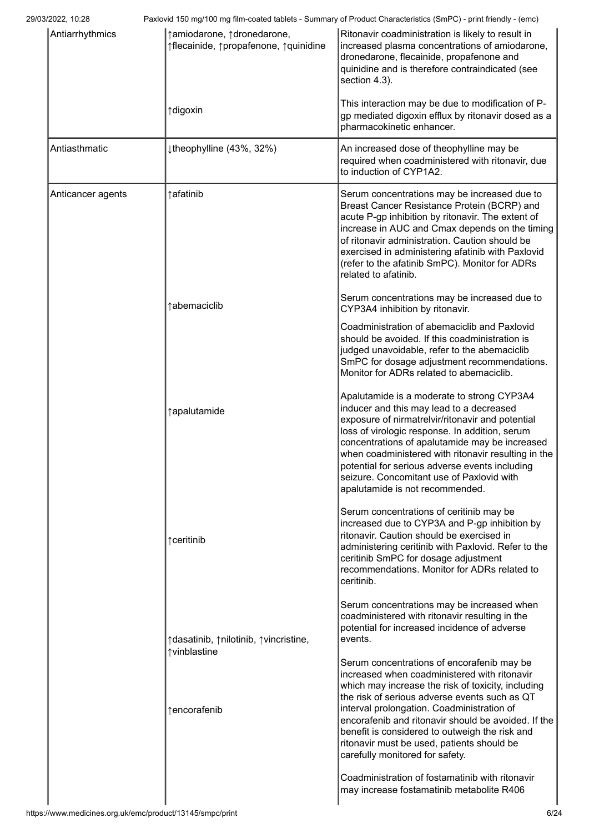| Antiarrhythmics   | ↑ amiodarone, ↑ dronedarone,<br>↑flecainide, ↑propafenone, ↑quinidine    | Ritonavir coadministration is likely to result in<br>increased plasma concentrations of amiodarone,<br>dronedarone, flecainide, propafenone and<br>quinidine and is therefore contraindicated (see<br>section 4.3).                                                                                                                                                                                                                                                                                                                                                                                                                                                                                  |
|-------------------|--------------------------------------------------------------------------|------------------------------------------------------------------------------------------------------------------------------------------------------------------------------------------------------------------------------------------------------------------------------------------------------------------------------------------------------------------------------------------------------------------------------------------------------------------------------------------------------------------------------------------------------------------------------------------------------------------------------------------------------------------------------------------------------|
|                   | ↑digoxin                                                                 | This interaction may be due to modification of P-<br>gp mediated digoxin efflux by ritonavir dosed as a<br>pharmacokinetic enhancer.                                                                                                                                                                                                                                                                                                                                                                                                                                                                                                                                                                 |
| Antiasthmatic     | theophylline (43%, 32%)                                                  | An increased dose of theophylline may be<br>required when coadministered with ritonavir, due<br>to induction of CYP1A2.                                                                                                                                                                                                                                                                                                                                                                                                                                                                                                                                                                              |
| Anticancer agents | ↑afatinib                                                                | Serum concentrations may be increased due to<br>Breast Cancer Resistance Protein (BCRP) and<br>acute P-gp inhibition by ritonavir. The extent of<br>increase in AUC and Cmax depends on the timing<br>of ritonavir administration. Caution should be<br>exercised in administering afatinib with Paxlovid<br>(refer to the afatinib SmPC). Monitor for ADRs<br>related to afatinib.                                                                                                                                                                                                                                                                                                                  |
|                   | ↑abemaciclib                                                             | Serum concentrations may be increased due to<br>CYP3A4 inhibition by ritonavir.                                                                                                                                                                                                                                                                                                                                                                                                                                                                                                                                                                                                                      |
|                   |                                                                          | Coadministration of abemaciclib and Paxlovid<br>should be avoided. If this coadministration is<br>judged unavoidable, refer to the abemaciclib<br>SmPC for dosage adjustment recommendations.<br>Monitor for ADRs related to abemaciclib.                                                                                                                                                                                                                                                                                                                                                                                                                                                            |
|                   | ↑apalutamide                                                             | Apalutamide is a moderate to strong CYP3A4<br>inducer and this may lead to a decreased<br>exposure of nirmatrelvir/ritonavir and potential<br>loss of virologic response. In addition, serum<br>concentrations of apalutamide may be increased<br>when coadministered with ritonavir resulting in the<br>potential for serious adverse events including<br>seizure. Concomitant use of Paxlovid with<br>apalutamide is not recommended.                                                                                                                                                                                                                                                              |
|                   | ↑ ceritinib                                                              | Serum concentrations of ceritinib may be<br>increased due to CYP3A and P-gp inhibition by<br>ritonavir. Caution should be exercised in<br>administering ceritinib with Paxlovid. Refer to the<br>ceritinib SmPC for dosage adjustment<br>recommendations. Monitor for ADRs related to<br>ceritinib.                                                                                                                                                                                                                                                                                                                                                                                                  |
|                   | ↑ dasatinib, ↑ nilotinib, ↑ vincristine,<br>↑vinblastine<br>↑encorafenib | Serum concentrations may be increased when<br>coadministered with ritonavir resulting in the<br>potential for increased incidence of adverse<br>events.<br>Serum concentrations of encorafenib may be<br>increased when coadministered with ritonavir<br>which may increase the risk of toxicity, including<br>the risk of serious adverse events such as QT<br>interval prolongation. Coadministration of<br>encorafenib and ritonavir should be avoided. If the<br>benefit is considered to outweigh the risk and<br>ritonavir must be used, patients should be<br>carefully monitored for safety.<br>Coadministration of fostamatinib with ritonavir<br>may increase fostamatinib metabolite R406 |
|                   |                                                                          |                                                                                                                                                                                                                                                                                                                                                                                                                                                                                                                                                                                                                                                                                                      |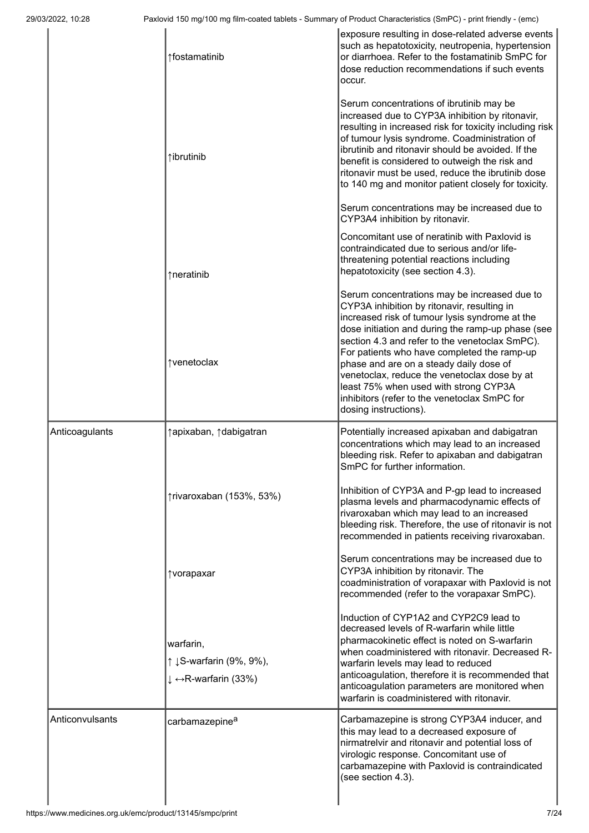|                 | ↑fostamatinib                                                 | exposure resulting in dose-related adverse events<br>such as hepatotoxicity, neutropenia, hypertension<br>or diarrhoea. Refer to the fostamatinib SmPC for<br>dose reduction recommendations if such events<br>occur.                                                                                                                                                                                                                                                                                            |
|-----------------|---------------------------------------------------------------|------------------------------------------------------------------------------------------------------------------------------------------------------------------------------------------------------------------------------------------------------------------------------------------------------------------------------------------------------------------------------------------------------------------------------------------------------------------------------------------------------------------|
|                 | ↑ibrutinib                                                    | Serum concentrations of ibrutinib may be<br>increased due to CYP3A inhibition by ritonavir,<br>resulting in increased risk for toxicity including risk<br>of tumour lysis syndrome. Coadministration of<br>ibrutinib and ritonavir should be avoided. If the<br>benefit is considered to outweigh the risk and<br>ritonavir must be used, reduce the ibrutinib dose<br>to 140 mg and monitor patient closely for toxicity.                                                                                       |
|                 |                                                               | Serum concentrations may be increased due to<br>CYP3A4 inhibition by ritonavir.                                                                                                                                                                                                                                                                                                                                                                                                                                  |
|                 | ↑neratinib                                                    | Concomitant use of neratinib with Paxlovid is<br>contraindicated due to serious and/or life-<br>threatening potential reactions including<br>hepatotoxicity (see section 4.3).                                                                                                                                                                                                                                                                                                                                   |
|                 | ↑venetoclax                                                   | Serum concentrations may be increased due to<br>CYP3A inhibition by ritonavir, resulting in<br>increased risk of tumour lysis syndrome at the<br>dose initiation and during the ramp-up phase (see<br>section 4.3 and refer to the venetoclax SmPC).<br>For patients who have completed the ramp-up<br>phase and are on a steady daily dose of<br>venetoclax, reduce the venetoclax dose by at<br>least 75% when used with strong CYP3A<br>inhibitors (refer to the venetoclax SmPC for<br>dosing instructions). |
| Anticoagulants  | ↑ apixaban, ↑ dabigatran                                      | Potentially increased apixaban and dabigatran<br>concentrations which may lead to an increased<br>bleeding risk. Refer to apixaban and dabigatran<br>SmPC for further information.                                                                                                                                                                                                                                                                                                                               |
|                 | ↑rivaroxaban (153%, 53%)                                      | Inhibition of CYP3A and P-gp lead to increased<br>plasma levels and pharmacodynamic effects of<br>rivaroxaban which may lead to an increased<br>bleeding risk. Therefore, the use of ritonavir is not<br>recommended in patients receiving rivaroxaban.                                                                                                                                                                                                                                                          |
|                 | ↑vorapaxar                                                    | Serum concentrations may be increased due to<br>CYP3A inhibition by ritonavir. The<br>coadministration of vorapaxar with Paxlovid is not<br>recommended (refer to the vorapaxar SmPC).                                                                                                                                                                                                                                                                                                                           |
|                 | warfarin,<br>↑ ↓ S-warfarin (9%, 9%),<br>↓ ↔ R-warfarin (33%) | Induction of CYP1A2 and CYP2C9 lead to<br>decreased levels of R-warfarin while little<br>pharmacokinetic effect is noted on S-warfarin<br>when coadministered with ritonavir. Decreased R-<br>warfarin levels may lead to reduced<br>anticoagulation, therefore it is recommended that<br>anticoagulation parameters are monitored when<br>warfarin is coadministered with ritonavir.                                                                                                                            |
| Anticonvulsants | carbamazepine <sup>a</sup>                                    | Carbamazepine is strong CYP3A4 inducer, and<br>this may lead to a decreased exposure of<br>nirmatrelvir and ritonavir and potential loss of<br>virologic response. Concomitant use of<br>carbamazepine with Paxlovid is contraindicated<br>(see section 4.3).                                                                                                                                                                                                                                                    |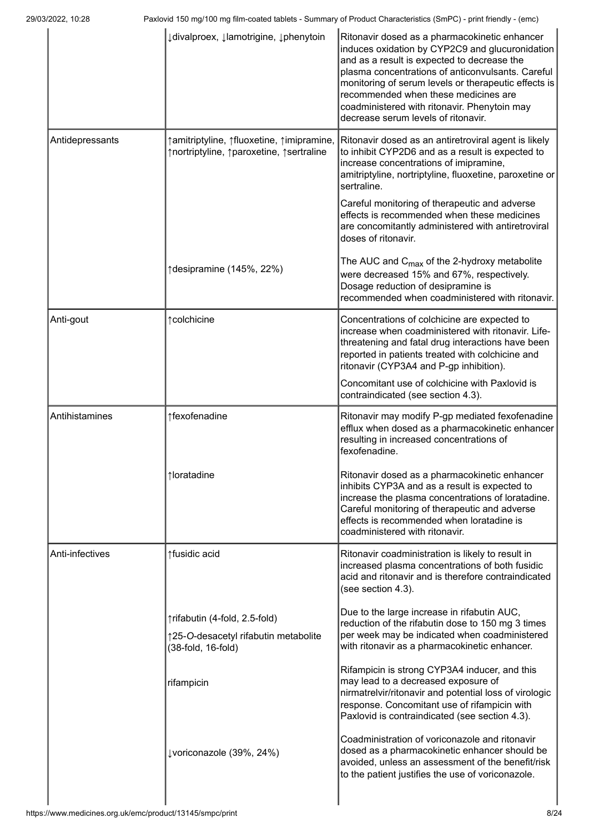|                 | ↓ divalproex, ↓ lamotrigine, ↓ phenytoin                                                    | Ritonavir dosed as a pharmacokinetic enhancer<br>induces oxidation by CYP2C9 and glucuronidation<br>and as a result is expected to decrease the<br>plasma concentrations of anticonvulsants. Careful<br>monitoring of serum levels or therapeutic effects is<br>recommended when these medicines are<br>coadministered with ritonavir. Phenytoin may<br>decrease serum levels of ritonavir. |
|-----------------|---------------------------------------------------------------------------------------------|---------------------------------------------------------------------------------------------------------------------------------------------------------------------------------------------------------------------------------------------------------------------------------------------------------------------------------------------------------------------------------------------|
| Antidepressants | ↑ amitriptyline, ↑ fluoxetine, ↑ imipramine,<br>↑nortriptyline, ↑paroxetine, ↑sertraline    | Ritonavir dosed as an antiretroviral agent is likely<br>to inhibit CYP2D6 and as a result is expected to<br>increase concentrations of imipramine,<br>amitriptyline, nortriptyline, fluoxetine, paroxetine or<br>sertraline.                                                                                                                                                                |
|                 |                                                                                             | Careful monitoring of therapeutic and adverse<br>effects is recommended when these medicines<br>are concomitantly administered with antiretroviral<br>doses of ritonavir.                                                                                                                                                                                                                   |
|                 | ↑desipramine (145%, 22%)                                                                    | The AUC and $C_{\text{max}}$ of the 2-hydroxy metabolite<br>were decreased 15% and 67%, respectively.<br>Dosage reduction of desipramine is<br>recommended when coadministered with ritonavir.                                                                                                                                                                                              |
| Anti-gout       | ↑ colchicine                                                                                | Concentrations of colchicine are expected to<br>increase when coadministered with ritonavir. Life-<br>threatening and fatal drug interactions have been<br>reported in patients treated with colchicine and<br>ritonavir (CYP3A4 and P-gp inhibition).                                                                                                                                      |
|                 |                                                                                             | Concomitant use of colchicine with Paxlovid is<br>contraindicated (see section 4.3).                                                                                                                                                                                                                                                                                                        |
| Antihistamines  | ↑fexofenadine                                                                               | Ritonavir may modify P-gp mediated fexofenadine<br>efflux when dosed as a pharmacokinetic enhancer<br>resulting in increased concentrations of<br>fexofenadine.                                                                                                                                                                                                                             |
|                 | ↑loratadine                                                                                 | Ritonavir dosed as a pharmacokinetic enhancer<br>inhibits CYP3A and as a result is expected to<br>increase the plasma concentrations of loratadine.<br>Careful monitoring of therapeutic and adverse<br>effects is recommended when loratadine is<br>coadministered with ritonavir.                                                                                                         |
| Anti-infectives | ↑fusidic acid                                                                               | Ritonavir coadministration is likely to result in<br>increased plasma concentrations of both fusidic<br>acid and ritonavir and is therefore contraindicated<br>(see section 4.3).                                                                                                                                                                                                           |
|                 | ↑rifabutin (4-fold, 2.5-fold)<br>↑25-O-desacetyl rifabutin metabolite<br>(38-fold, 16-fold) | Due to the large increase in rifabutin AUC,<br>reduction of the rifabutin dose to 150 mg 3 times<br>per week may be indicated when coadministered<br>with ritonavir as a pharmacokinetic enhancer.                                                                                                                                                                                          |
|                 | rifampicin                                                                                  | Rifampicin is strong CYP3A4 inducer, and this<br>may lead to a decreased exposure of<br>nirmatrelvir/ritonavir and potential loss of virologic<br>response. Concomitant use of rifampicin with<br>Paxlovid is contraindicated (see section 4.3).                                                                                                                                            |
|                 | ↓voriconazole (39%, 24%)                                                                    | Coadministration of voriconazole and ritonavir<br>dosed as a pharmacokinetic enhancer should be<br>avoided, unless an assessment of the benefit/risk<br>to the patient justifies the use of voriconazole.                                                                                                                                                                                   |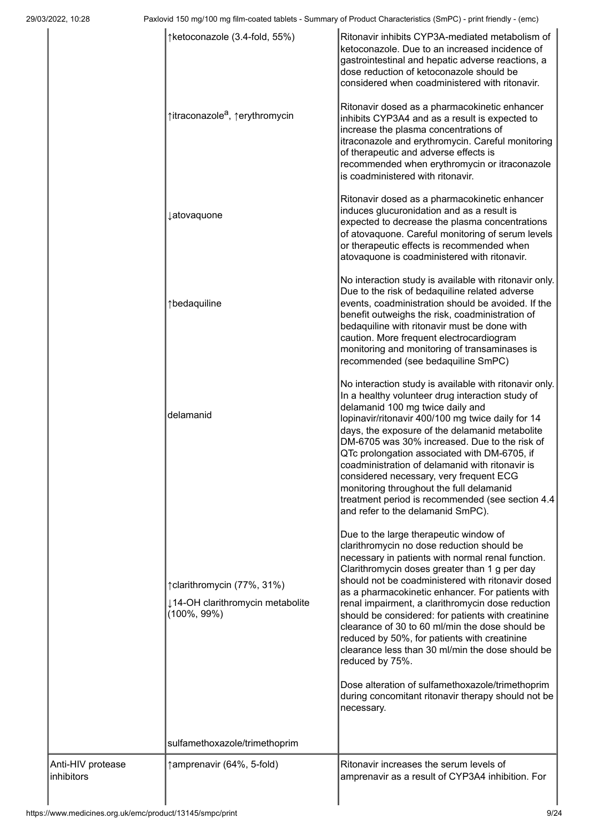|                                 | ↑ketoconazole (3.4-fold, 55%)                                                     | Ritonavir inhibits CYP3A-mediated metabolism of<br>ketoconazole. Due to an increased incidence of<br>gastrointestinal and hepatic adverse reactions, a<br>dose reduction of ketoconazole should be<br>considered when coadministered with ritonavir.                                                                                                                                                                                                                                                                                                                                                                                                                                                             |
|---------------------------------|-----------------------------------------------------------------------------------|------------------------------------------------------------------------------------------------------------------------------------------------------------------------------------------------------------------------------------------------------------------------------------------------------------------------------------------------------------------------------------------------------------------------------------------------------------------------------------------------------------------------------------------------------------------------------------------------------------------------------------------------------------------------------------------------------------------|
|                                 | ↑itraconazole <sup>a</sup> , ↑erythromycin                                        | Ritonavir dosed as a pharmacokinetic enhancer<br>inhibits CYP3A4 and as a result is expected to<br>increase the plasma concentrations of<br>itraconazole and erythromycin. Careful monitoring<br>of therapeutic and adverse effects is<br>recommended when erythromycin or itraconazole<br>is coadministered with ritonavir.                                                                                                                                                                                                                                                                                                                                                                                     |
|                                 | <b>Jatovaquone</b>                                                                | Ritonavir dosed as a pharmacokinetic enhancer<br>induces glucuronidation and as a result is<br>expected to decrease the plasma concentrations<br>of atovaquone. Careful monitoring of serum levels<br>or therapeutic effects is recommended when<br>atovaquone is coadministered with ritonavir.                                                                                                                                                                                                                                                                                                                                                                                                                 |
|                                 | ↑bedaquiline                                                                      | No interaction study is available with ritonavir only.<br>Due to the risk of bedaquiline related adverse<br>events, coadministration should be avoided. If the<br>benefit outweighs the risk, coadministration of<br>bedaquiline with ritonavir must be done with<br>caution. More frequent electrocardiogram<br>monitoring and monitoring of transaminases is<br>recommended (see bedaquiline SmPC)                                                                                                                                                                                                                                                                                                             |
|                                 | delamanid                                                                         | No interaction study is available with ritonavir only.<br>In a healthy volunteer drug interaction study of<br>delamanid 100 mg twice daily and<br>lopinavir/ritonavir 400/100 mg twice daily for 14<br>days, the exposure of the delamanid metabolite<br>DM-6705 was 30% increased. Due to the risk of<br>QTc prolongation associated with DM-6705, if<br>coadministration of delamanid with ritonavir is<br>considered necessary, very frequent ECG<br>monitoring throughout the full delamanid<br>treatment period is recommended (see section 4.4<br>and refer to the delamanid SmPC).                                                                                                                        |
|                                 | ↑clarithromycin (77%, 31%)<br>↓14-OH clarithromycin metabolite<br>$(100\%, 99\%)$ | Due to the large therapeutic window of<br>clarithromycin no dose reduction should be<br>necessary in patients with normal renal function.<br>Clarithromycin doses greater than 1 g per day<br>should not be coadministered with ritonavir dosed<br>as a pharmacokinetic enhancer. For patients with<br>renal impairment, a clarithromycin dose reduction<br>should be considered: for patients with creatinine<br>clearance of 30 to 60 ml/min the dose should be<br>reduced by 50%, for patients with creatinine<br>clearance less than 30 ml/min the dose should be<br>reduced by 75%.<br>Dose alteration of sulfamethoxazole/trimethoprim<br>during concomitant ritonavir therapy should not be<br>necessary. |
|                                 | sulfamethoxazole/trimethoprim                                                     |                                                                                                                                                                                                                                                                                                                                                                                                                                                                                                                                                                                                                                                                                                                  |
| Anti-HIV protease<br>inhibitors | ↑amprenavir (64%, 5-fold)                                                         | Ritonavir increases the serum levels of<br>amprenavir as a result of CYP3A4 inhibition. For                                                                                                                                                                                                                                                                                                                                                                                                                                                                                                                                                                                                                      |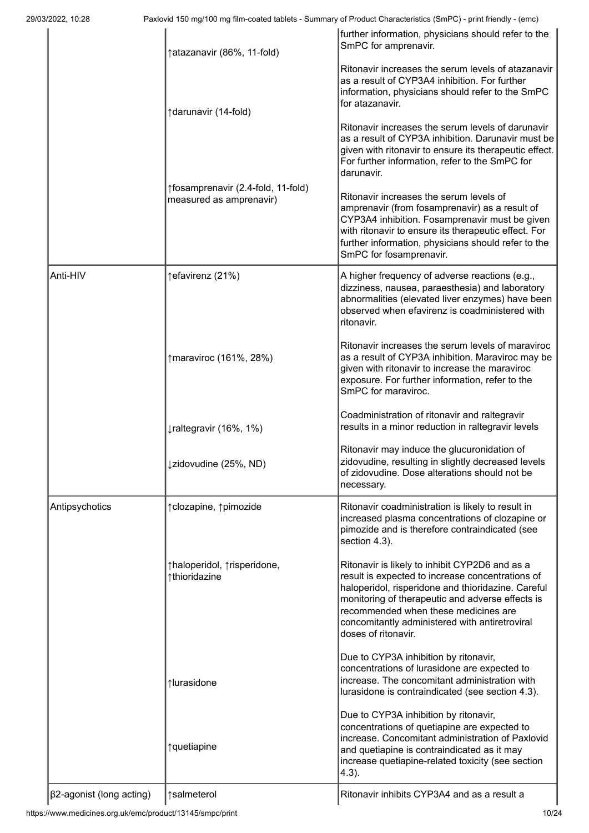|                                 | ↑atazanavir (86%, 11-fold)                                    | further information, physicians should refer to the<br>SmPC for amprenavir.                                                                                                                                                                                                                                                   |
|---------------------------------|---------------------------------------------------------------|-------------------------------------------------------------------------------------------------------------------------------------------------------------------------------------------------------------------------------------------------------------------------------------------------------------------------------|
|                                 | ↑darunavir (14-fold)                                          | Ritonavir increases the serum levels of atazanavir<br>as a result of CYP3A4 inhibition. For further<br>information, physicians should refer to the SmPC<br>for atazanavir.                                                                                                                                                    |
|                                 |                                                               | Ritonavir increases the serum levels of darunavir<br>as a result of CYP3A inhibition. Darunavir must be<br>given with ritonavir to ensure its therapeutic effect.<br>For further information, refer to the SmPC for<br>darunavir.                                                                                             |
|                                 | ↑fosamprenavir (2.4-fold, 11-fold)<br>measured as amprenavir) | Ritonavir increases the serum levels of<br>amprenavir (from fosamprenavir) as a result of<br>CYP3A4 inhibition. Fosamprenavir must be given<br>with ritonavir to ensure its therapeutic effect. For<br>further information, physicians should refer to the<br>SmPC for fosamprenavir.                                         |
| Anti-HIV                        | ↑efavirenz (21%)                                              | A higher frequency of adverse reactions (e.g.,<br>dizziness, nausea, paraesthesia) and laboratory<br>abnormalities (elevated liver enzymes) have been<br>observed when efavirenz is coadministered with<br>ritonavir.                                                                                                         |
|                                 | ↑maraviroc (161%, 28%)                                        | Ritonavir increases the serum levels of maraviroc<br>as a result of CYP3A inhibition. Maraviroc may be<br>given with ritonavir to increase the maraviroc<br>exposure. For further information, refer to the<br>SmPC for maraviroc.                                                                                            |
|                                 | $\downarrow$ raltegravir (16%, 1%)                            | Coadministration of ritonavir and raltegravir<br>results in a minor reduction in raltegravir levels                                                                                                                                                                                                                           |
|                                 | ↓zidovudine (25%, ND)                                         | Ritonavir may induce the glucuronidation of<br>zidovudine, resulting in slightly decreased levels<br>of zidovudine. Dose alterations should not be<br>necessary.                                                                                                                                                              |
| Antipsychotics                  | ↑clozapine, ↑pimozide                                         | Ritonavir coadministration is likely to result in<br>increased plasma concentrations of clozapine or<br>pimozide and is therefore contraindicated (see<br>section 4.3).                                                                                                                                                       |
|                                 | ↑haloperidol, ↑risperidone,<br>↑thioridazine                  | Ritonavir is likely to inhibit CYP2D6 and as a<br>result is expected to increase concentrations of<br>haloperidol, risperidone and thioridazine. Careful<br>monitoring of therapeutic and adverse effects is<br>recommended when these medicines are<br>concomitantly administered with antiretroviral<br>doses of ritonavir. |
|                                 | ↑lurasidone                                                   | Due to CYP3A inhibition by ritonavir,<br>concentrations of lurasidone are expected to<br>increase. The concomitant administration with<br>lurasidone is contraindicated (see section 4.3).                                                                                                                                    |
|                                 | ↑quetiapine                                                   | Due to CYP3A inhibition by ritonavir,<br>concentrations of quetiapine are expected to<br>increase. Concomitant administration of Paxlovid<br>and quetiapine is contraindicated as it may<br>increase quetiapine-related toxicity (see section<br>$4.3$ ).                                                                     |
| $\beta$ 2-agonist (long acting) | ↑salmeterol                                                   | Ritonavir inhibits CYP3A4 and as a result a                                                                                                                                                                                                                                                                                   |

https://www.medicines.org.uk/emc/product/13145/smpc/print 10/24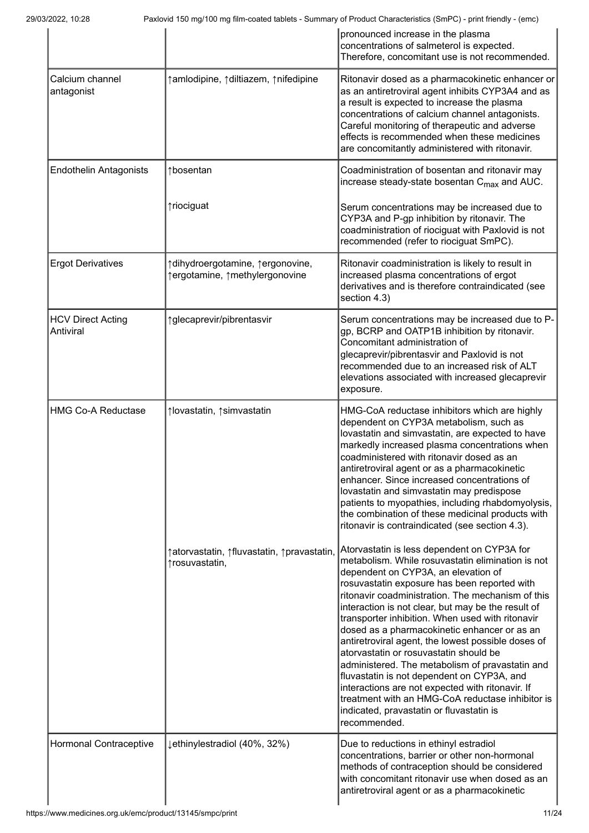|                                       |                                                                      | pronounced increase in the plasma<br>concentrations of salmeterol is expected.<br>Therefore, concomitant use is not recommended.                                                                                                                                                                                                                                                                                                                                                                                                                                                                                                                                                                                                                                            |
|---------------------------------------|----------------------------------------------------------------------|-----------------------------------------------------------------------------------------------------------------------------------------------------------------------------------------------------------------------------------------------------------------------------------------------------------------------------------------------------------------------------------------------------------------------------------------------------------------------------------------------------------------------------------------------------------------------------------------------------------------------------------------------------------------------------------------------------------------------------------------------------------------------------|
| Calcium channel<br>antagonist         | ↑ amlodipine, ↑ diltiazem, ↑ nifedipine                              | Ritonavir dosed as a pharmacokinetic enhancer or<br>as an antiretroviral agent inhibits CYP3A4 and as<br>a result is expected to increase the plasma<br>concentrations of calcium channel antagonists.<br>Careful monitoring of therapeutic and adverse<br>effects is recommended when these medicines<br>are concomitantly administered with ritonavir.                                                                                                                                                                                                                                                                                                                                                                                                                    |
| <b>Endothelin Antagonists</b>         | ↑bosentan                                                            | Coadministration of bosentan and ritonavir may<br>increase steady-state bosentan C <sub>max</sub> and AUC.                                                                                                                                                                                                                                                                                                                                                                                                                                                                                                                                                                                                                                                                  |
|                                       | ↑riociguat                                                           | Serum concentrations may be increased due to<br>CYP3A and P-gp inhibition by ritonavir. The<br>coadministration of riociguat with Paxlovid is not<br>recommended (refer to riociguat SmPC).                                                                                                                                                                                                                                                                                                                                                                                                                                                                                                                                                                                 |
| <b>Ergot Derivatives</b>              | ↑ dihydroergotamine, ↑ ergonovine,<br>↑ergotamine, ↑methylergonovine | Ritonavir coadministration is likely to result in<br>increased plasma concentrations of ergot<br>derivatives and is therefore contraindicated (see<br>section 4.3)                                                                                                                                                                                                                                                                                                                                                                                                                                                                                                                                                                                                          |
| <b>HCV Direct Acting</b><br>Antiviral | ↑glecaprevir/pibrentasvir                                            | Serum concentrations may be increased due to P-<br>gp, BCRP and OATP1B inhibition by ritonavir.<br>Concomitant administration of<br>glecaprevir/pibrentasvir and Paxlovid is not<br>recommended due to an increased risk of ALT<br>elevations associated with increased glecaprevir<br>exposure.                                                                                                                                                                                                                                                                                                                                                                                                                                                                            |
| <b>HMG Co-A Reductase</b>             | ↑lovastatin, ↑simvastatin                                            | HMG-CoA reductase inhibitors which are highly<br>dependent on CYP3A metabolism, such as<br>lovastatin and simvastatin, are expected to have<br>markedly increased plasma concentrations when<br>coadministered with ritonavir dosed as an<br>antiretroviral agent or as a pharmacokinetic<br>enhancer. Since increased concentrations of<br>lovastatin and simvastatin may predispose<br>patients to myopathies, including rhabdomyolysis,<br>the combination of these medicinal products with<br>ritonavir is contraindicated (see section 4.3).                                                                                                                                                                                                                           |
|                                       | ↑atorvastatin, ↑fluvastatin, ↑pravastatin,<br>↑rosuvastatin,         | Atorvastatin is less dependent on CYP3A for<br>metabolism. While rosuvastatin elimination is not<br>dependent on CYP3A, an elevation of<br>rosuvastatin exposure has been reported with<br>ritonavir coadministration. The mechanism of this<br>interaction is not clear, but may be the result of<br>transporter inhibition. When used with ritonavir<br>dosed as a pharmacokinetic enhancer or as an<br>antiretroviral agent, the lowest possible doses of<br>atorvastatin or rosuvastatin should be<br>administered. The metabolism of pravastatin and<br>fluvastatin is not dependent on CYP3A, and<br>interactions are not expected with ritonavir. If<br>treatment with an HMG-CoA reductase inhibitor is<br>indicated, pravastatin or fluvastatin is<br>recommended. |
| Hormonal Contraceptive                | ↓ethinylestradiol (40%, 32%)                                         | Due to reductions in ethinyl estradiol<br>concentrations, barrier or other non-hormonal<br>methods of contraception should be considered<br>with concomitant ritonavir use when dosed as an<br>antiretroviral agent or as a pharmacokinetic                                                                                                                                                                                                                                                                                                                                                                                                                                                                                                                                 |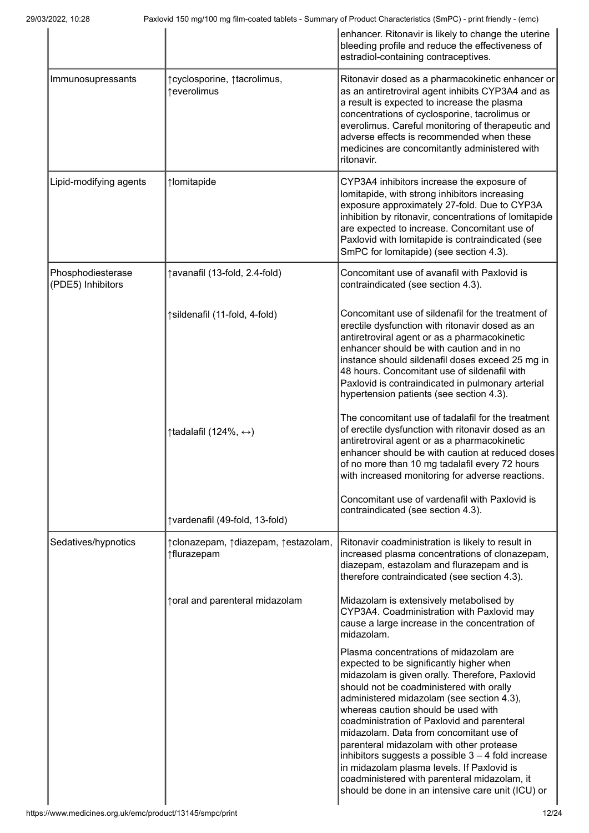|                                        |                                                    | enhancer. Ritonavir is likely to change the uterine<br>bleeding profile and reduce the effectiveness of<br>estradiol-containing contraceptives.                                                                                                                                                                                                                                                                                                                                                                                                                                                                       |
|----------------------------------------|----------------------------------------------------|-----------------------------------------------------------------------------------------------------------------------------------------------------------------------------------------------------------------------------------------------------------------------------------------------------------------------------------------------------------------------------------------------------------------------------------------------------------------------------------------------------------------------------------------------------------------------------------------------------------------------|
| Immunosupressants                      | ↑ cyclosporine, ↑ tacrolimus,<br>↑everolimus       | Ritonavir dosed as a pharmacokinetic enhancer or<br>as an antiretroviral agent inhibits CYP3A4 and as<br>a result is expected to increase the plasma<br>concentrations of cyclosporine, tacrolimus or<br>everolimus. Careful monitoring of therapeutic and<br>adverse effects is recommended when these<br>medicines are concomitantly administered with<br>ritonavir.                                                                                                                                                                                                                                                |
| Lipid-modifying agents                 | ↑lomitapide                                        | CYP3A4 inhibitors increase the exposure of<br>lomitapide, with strong inhibitors increasing<br>exposure approximately 27-fold. Due to CYP3A<br>inhibition by ritonavir, concentrations of lomitapide<br>are expected to increase. Concomitant use of<br>Paxlovid with lomitapide is contraindicated (see<br>SmPC for lomitapide) (see section 4.3).                                                                                                                                                                                                                                                                   |
| Phosphodiesterase<br>(PDE5) Inhibitors | ↑avanafil (13-fold, 2.4-fold)                      | Concomitant use of avanafil with Paxlovid is<br>contraindicated (see section 4.3).                                                                                                                                                                                                                                                                                                                                                                                                                                                                                                                                    |
|                                        | ↑sildenafil (11-fold, 4-fold)                      | Concomitant use of sildenafil for the treatment of<br>erectile dysfunction with ritonavir dosed as an<br>antiretroviral agent or as a pharmacokinetic<br>enhancer should be with caution and in no<br>instance should sildenafil doses exceed 25 mg in<br>48 hours. Concomitant use of sildenafil with<br>Paxlovid is contraindicated in pulmonary arterial<br>hypertension patients (see section 4.3).                                                                                                                                                                                                               |
|                                        | $\uparrow$ tadalafil (124%, $\leftrightarrow$ )    | The concomitant use of tadalafil for the treatment<br>of erectile dysfunction with ritonavir dosed as an<br>antiretroviral agent or as a pharmacokinetic<br>enhancer should be with caution at reduced doses<br>of no more than 10 mg tadalafil every 72 hours<br>with increased monitoring for adverse reactions.                                                                                                                                                                                                                                                                                                    |
|                                        | ↑vardenafil (49-fold, 13-fold)                     | Concomitant use of vardenafil with Paxlovid is<br>contraindicated (see section 4.3).                                                                                                                                                                                                                                                                                                                                                                                                                                                                                                                                  |
| Sedatives/hypnotics                    | ↑clonazepam, ↑diazepam, ↑estazolam,<br>↑flurazepam | Ritonavir coadministration is likely to result in<br>increased plasma concentrations of clonazepam,<br>diazepam, estazolam and flurazepam and is<br>therefore contraindicated (see section 4.3).                                                                                                                                                                                                                                                                                                                                                                                                                      |
|                                        | ↑ oral and parenteral midazolam                    | Midazolam is extensively metabolised by<br>CYP3A4. Coadministration with Paxlovid may<br>cause a large increase in the concentration of<br>midazolam.                                                                                                                                                                                                                                                                                                                                                                                                                                                                 |
|                                        |                                                    | Plasma concentrations of midazolam are<br>expected to be significantly higher when<br>midazolam is given orally. Therefore, Paxlovid<br>should not be coadministered with orally<br>administered midazolam (see section 4.3),<br>whereas caution should be used with<br>coadministration of Paxlovid and parenteral<br>midazolam. Data from concomitant use of<br>parenteral midazolam with other protease<br>inhibitors suggests a possible $3 - 4$ fold increase<br>in midazolam plasma levels. If Paxlovid is<br>coadministered with parenteral midazolam, it<br>should be done in an intensive care unit (ICU) or |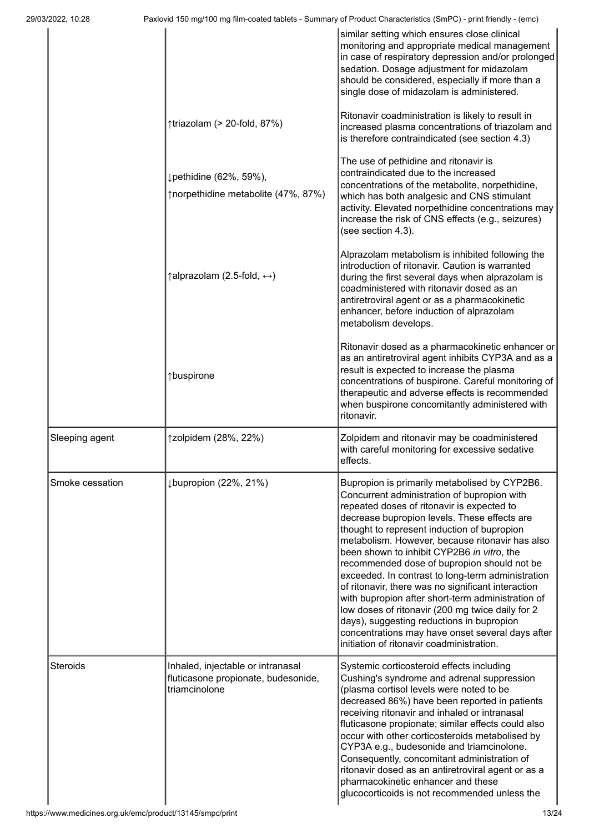| 29/03/2022, 10:28 |                                                                                           | Paxlovid 150 mg/100 mg film-coated tablets - Summary of Product Characteristics (SmPC) - print friendly - (emc)                                                                                                                                                                                                                                                                                                                                                                                                                                                                                                                                                                                                                                             |
|-------------------|-------------------------------------------------------------------------------------------|-------------------------------------------------------------------------------------------------------------------------------------------------------------------------------------------------------------------------------------------------------------------------------------------------------------------------------------------------------------------------------------------------------------------------------------------------------------------------------------------------------------------------------------------------------------------------------------------------------------------------------------------------------------------------------------------------------------------------------------------------------------|
|                   |                                                                                           | similar setting which ensures close clinical<br>monitoring and appropriate medical management<br>in case of respiratory depression and/or prolonged<br>sedation. Dosage adjustment for midazolam<br>should be considered, especially if more than a<br>single dose of midazolam is administered.                                                                                                                                                                                                                                                                                                                                                                                                                                                            |
|                   | ↑triazolam (> 20-fold, 87%)                                                               | Ritonavir coadministration is likely to result in<br>increased plasma concentrations of triazolam and<br>is therefore contraindicated (see section 4.3)                                                                                                                                                                                                                                                                                                                                                                                                                                                                                                                                                                                                     |
|                   | ↓pethidine (62%, 59%),<br>↑norpethidine metabolite (47%, 87%)                             | The use of pethidine and ritonavir is<br>contraindicated due to the increased<br>concentrations of the metabolite, norpethidine,<br>which has both analgesic and CNS stimulant<br>activity. Elevated norpethidine concentrations may<br>increase the risk of CNS effects (e.g., seizures)<br>(see section 4.3).                                                                                                                                                                                                                                                                                                                                                                                                                                             |
|                   | $\uparrow$ alprazolam (2.5-fold, $\leftrightarrow$ )                                      | Alprazolam metabolism is inhibited following the<br>introduction of ritonavir. Caution is warranted<br>during the first several days when alprazolam is<br>coadministered with ritonavir dosed as an<br>antiretroviral agent or as a pharmacokinetic<br>enhancer, before induction of alprazolam<br>metabolism develops.                                                                                                                                                                                                                                                                                                                                                                                                                                    |
|                   | ↑buspirone                                                                                | Ritonavir dosed as a pharmacokinetic enhancer or<br>as an antiretroviral agent inhibits CYP3A and as a<br>result is expected to increase the plasma<br>concentrations of buspirone. Careful monitoring of<br>therapeutic and adverse effects is recommended<br>when buspirone concomitantly administered with<br>ritonavir.                                                                                                                                                                                                                                                                                                                                                                                                                                 |
| Sleeping agent    | ↑zolpidem (28%, 22%)                                                                      | Zolpidem and ritonavir may be coadministered<br>with careful monitoring for excessive sedative<br>effects.                                                                                                                                                                                                                                                                                                                                                                                                                                                                                                                                                                                                                                                  |
| Smoke cessation   | ↓bupropion (22%, 21%)                                                                     | Bupropion is primarily metabolised by CYP2B6.<br>Concurrent administration of bupropion with<br>repeated doses of ritonavir is expected to<br>decrease bupropion levels. These effects are<br>thought to represent induction of bupropion<br>metabolism. However, because ritonavir has also<br>been shown to inhibit CYP2B6 in vitro, the<br>recommended dose of bupropion should not be<br>exceeded. In contrast to long-term administration<br>of ritonavir, there was no significant interaction<br>with bupropion after short-term administration of<br>low doses of ritonavir (200 mg twice daily for 2<br>days), suggesting reductions in bupropion<br>concentrations may have onset several days after<br>initiation of ritonavir coadministration. |
| <b>Steroids</b>   | Inhaled, injectable or intranasal<br>fluticasone propionate, budesonide,<br>triamcinolone | Systemic corticosteroid effects including<br>Cushing's syndrome and adrenal suppression<br>(plasma cortisol levels were noted to be<br>decreased 86%) have been reported in patients<br>receiving ritonavir and inhaled or intranasal<br>fluticasone propionate; similar effects could also<br>occur with other corticosteroids metabolised by<br>CYP3A e.g., budesonide and triamcinolone.<br>Consequently, concomitant administration of<br>ritonavir dosed as an antiretroviral agent or as a<br>pharmacokinetic enhancer and these<br>glucocorticoids is not recommended unless the                                                                                                                                                                     |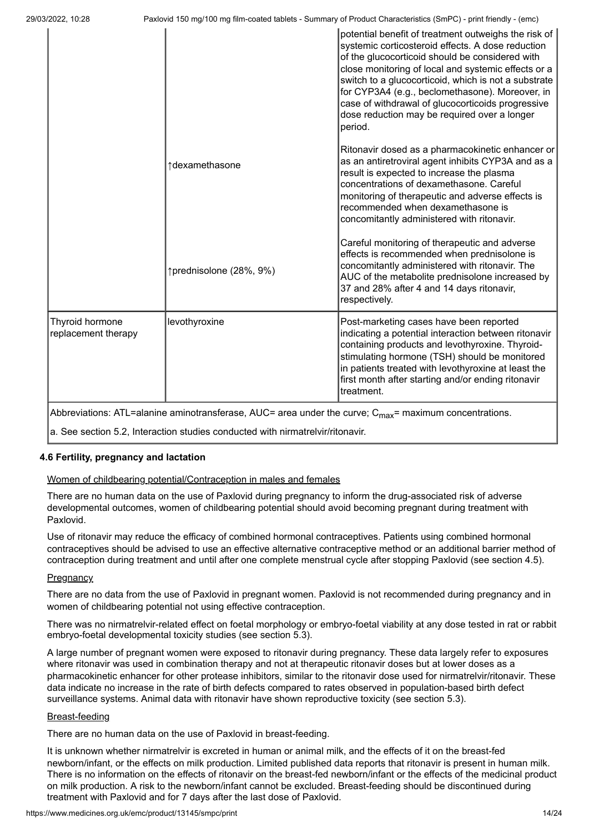|                                        |                         | potential benefit of treatment outweighs the risk of<br>systemic corticosteroid effects. A dose reduction<br>of the glucocorticoid should be considered with<br>close monitoring of local and systemic effects or a<br>switch to a glucocorticoid, which is not a substrate<br>for CYP3A4 (e.g., beclomethasone). Moreover, in<br>case of withdrawal of glucocorticoids progressive<br>dose reduction may be required over a longer<br>period. |
|----------------------------------------|-------------------------|------------------------------------------------------------------------------------------------------------------------------------------------------------------------------------------------------------------------------------------------------------------------------------------------------------------------------------------------------------------------------------------------------------------------------------------------|
|                                        | ↑dexamethasone          | Ritonavir dosed as a pharmacokinetic enhancer or<br>as an antiretroviral agent inhibits CYP3A and as a<br>result is expected to increase the plasma<br>concentrations of dexamethasone. Careful<br>monitoring of therapeutic and adverse effects is<br>recommended when dexamethasone is<br>concomitantly administered with ritonavir.                                                                                                         |
|                                        | ↑prednisolone (28%, 9%) | Careful monitoring of therapeutic and adverse<br>effects is recommended when prednisolone is<br>concomitantly administered with ritonavir. The<br>AUC of the metabolite prednisolone increased by<br>37 and 28% after 4 and 14 days ritonavir,<br>respectively.                                                                                                                                                                                |
| Thyroid hormone<br>replacement therapy | levothyroxine           | Post-marketing cases have been reported<br>indicating a potential interaction between ritonavir<br>containing products and levothyroxine. Thyroid-<br>stimulating hormone (TSH) should be monitored<br>in patients treated with levothyroxine at least the<br>first month after starting and/or ending ritonavir<br>treatment.                                                                                                                 |

Abbreviations: ATL=alanine aminotransferase, AUC= area under the curve;  $C_{\text{max}}$ = maximum concentrations.

a. See section 5.2, Interaction studies conducted with nirmatrelvir/ritonavir.

### **4.6 Fertility, pregnancy and lactation**

### Women of childbearing potential/Contraception in males and females

There are no human data on the use of Paxlovid during pregnancy to inform the drug-associated risk of adverse developmental outcomes, women of childbearing potential should avoid becoming pregnant during treatment with Paxlovid.

Use of ritonavir may reduce the efficacy of combined hormonal contraceptives. Patients using combined hormonal contraceptives should be advised to use an effective alternative contraceptive method or an additional barrier method of contraception during treatment and until after one complete menstrual cycle after stopping Paxlovid (see section 4.5).

### **Pregnancy**

There are no data from the use of Paxlovid in pregnant women. Paxlovid is not recommended during pregnancy and in women of childbearing potential not using effective contraception.

There was no nirmatrelvir-related effect on foetal morphology or embryo-foetal viability at any dose tested in rat or rabbit embryo-foetal developmental toxicity studies (see section 5.3).

A large number of pregnant women were exposed to ritonavir during pregnancy. These data largely refer to exposures where ritonavir was used in combination therapy and not at therapeutic ritonavir doses but at lower doses as a pharmacokinetic enhancer for other protease inhibitors, similar to the ritonavir dose used for nirmatrelvir/ritonavir. These data indicate no increase in the rate of birth defects compared to rates observed in population-based birth defect surveillance systems. Animal data with ritonavir have shown reproductive toxicity (see section 5.3).

### Breast-feeding

There are no human data on the use of Paxlovid in breast-feeding.

It is unknown whether nirmatrelvir is excreted in human or animal milk, and the effects of it on the breast-fed newborn/infant, or the effects on milk production. Limited published data reports that ritonavir is present in human milk. There is no information on the effects of ritonavir on the breast-fed newborn/infant or the effects of the medicinal product on milk production. A risk to the newborn/infant cannot be excluded. Breast-feeding should be discontinued during treatment with Paxlovid and for 7 days after the last dose of Paxlovid.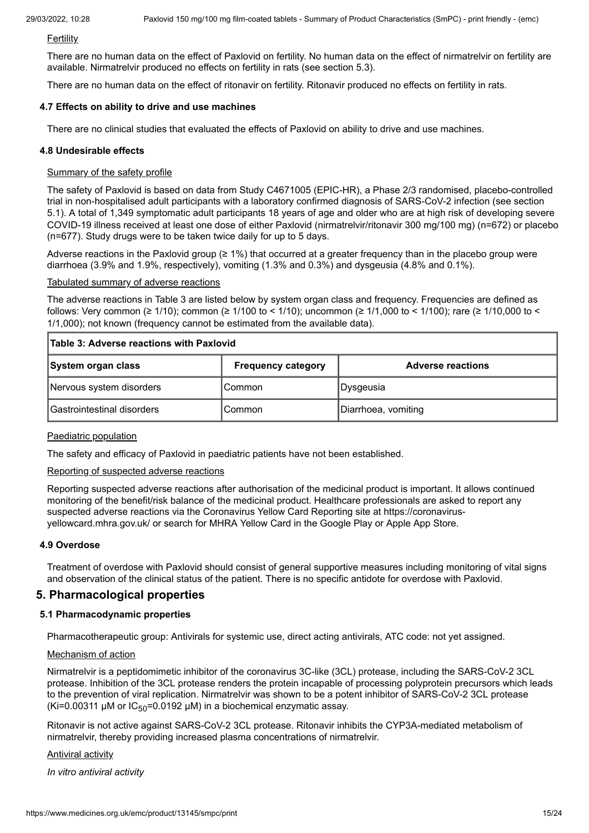**Fertility** 

There are no human data on the effect of Paxlovid on fertility. No human data on the effect of nirmatrelvir on fertility are available. Nirmatrelvir produced no effects on fertility in rats (see section 5.3).

There are no human data on the effect of ritonavir on fertility. Ritonavir produced no effects on fertility in rats.

### **4.7 Effects on ability to drive and use machines**

There are no clinical studies that evaluated the effects of Paxlovid on ability to drive and use machines.

### **4.8 Undesirable effects**

### Summary of the safety profile

The safety of Paxlovid is based on data from Study C4671005 (EPIC-HR), a Phase 2/3 randomised, placebo-controlled trial in non-hospitalised adult participants with a laboratory confirmed diagnosis of SARS-CoV-2 infection (see section 5.1). A total of 1,349 symptomatic adult participants 18 years of age and older who are at high risk of developing severe COVID-19 illness received at least one dose of either Paxlovid (nirmatrelvir/ritonavir 300 mg/100 mg) (n=672) or placebo (n=677). Study drugs were to be taken twice daily for up to 5 days.

Adverse reactions in the Paxlovid group (≥ 1%) that occurred at a greater frequency than in the placebo group were diarrhoea (3.9% and 1.9%, respectively), vomiting (1.3% and 0.3%) and dysgeusia (4.8% and 0.1%).

### Tabulated summary of adverse reactions

The adverse reactions in Table 3 are listed below by system organ class and frequency. Frequencies are defined as follows: Very common ( $\geq 1/10$ ); common ( $\geq 1/100$  to  $\lt 1/10$ ); uncommon ( $\geq 1/1,000$  to  $\lt 1/100$ ); rare ( $\geq 1/10,000$  to  $\lt$ 1/1,000); not known (frequency cannot be estimated from the available data).

|  | Table 3: Adverse reactions with Paxlovid |  |
|--|------------------------------------------|--|
|  |                                          |  |

| System organ class         | <b>Frequency category</b> | <b>Adverse reactions</b> |
|----------------------------|---------------------------|--------------------------|
| Nervous system disorders   | Common                    | Dysgeusia                |
| Gastrointestinal disorders | Common                    | Diarrhoea, vomiting      |

### Paediatric population

The safety and efficacy of Paxlovid in paediatric patients have not been established.

### Reporting of suspected adverse reactions

Reporting suspected adverse reactions after authorisation of the medicinal product is important. It allows continued monitoring of the benefit/risk balance of the medicinal product. Healthcare professionals are asked to report any suspected adverse reactions via the Coronavirus Yellow Card Reporting site at https://coronavirusyellowcard.mhra.gov.uk/ or search for MHRA Yellow Card in the Google Play or Apple App Store.

### **4.9 Overdose**

Treatment of overdose with Paxlovid should consist of general supportive measures including monitoring of vital signs and observation of the clinical status of the patient. There is no specific antidote for overdose with Paxlovid.

# **5. Pharmacological properties**

### **5.1 Pharmacodynamic properties**

Pharmacotherapeutic group: Antivirals for systemic use, direct acting antivirals, ATC code: not yet assigned.

### Mechanism of action

Nirmatrelvir is a peptidomimetic inhibitor of the coronavirus 3C-like (3CL) protease, including the SARS-CoV-2 3CL protease. Inhibition of the 3CL protease renders the protein incapable of processing polyprotein precursors which leads to the prevention of viral replication. Nirmatrelvir was shown to be a potent inhibitor of SARS-CoV-2 3CL protease (Ki=0.00311  $\mu$ M or IC<sub>50</sub>=0.0192  $\mu$ M) in a biochemical enzymatic assay.

Ritonavir is not active against SARS-CoV-2 3CL protease. Ritonavir inhibits the CYP3A-mediated metabolism of nirmatrelvir, thereby providing increased plasma concentrations of nirmatrelvir.

### Antiviral activity

*In vitro antiviral activity*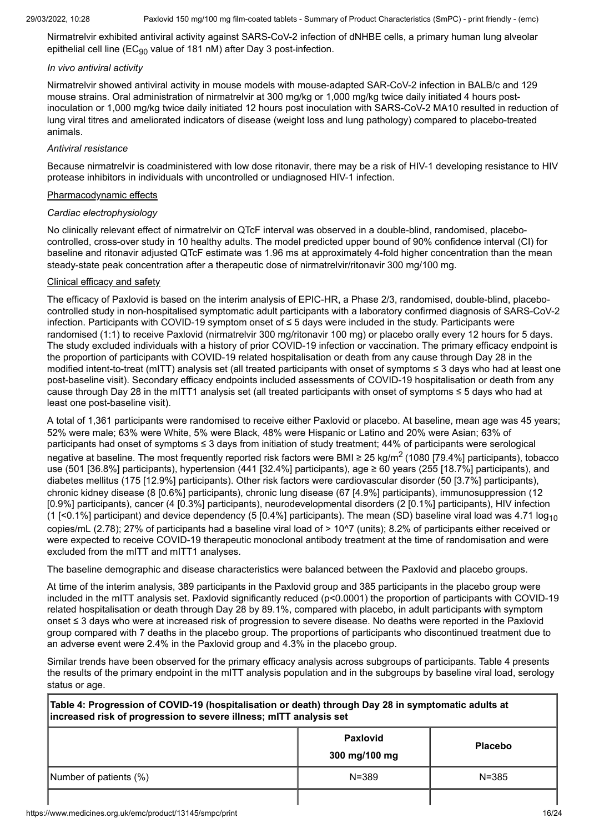Nirmatrelvir exhibited antiviral activity against SARS-CoV-2 infection of dNHBE cells, a primary human lung alveolar epithelial cell line ( $EC_{90}$  value of 181 nM) after Day 3 post-infection.

# *In vivo antiviral activity*

Nirmatrelvir showed antiviral activity in mouse models with mouse-adapted SAR-CoV-2 infection in BALB/c and 129 mouse strains. Oral administration of nirmatrelvir at 300 mg/kg or 1,000 mg/kg twice daily initiated 4 hours postinoculation or 1,000 mg/kg twice daily initiated 12 hours post inoculation with SARS-CoV-2 MA10 resulted in reduction of lung viral titres and ameliorated indicators of disease (weight loss and lung pathology) compared to placebo-treated animals.

# *Antiviral resistance*

Because nirmatrelvir is coadministered with low dose ritonavir, there may be a risk of HIV-1 developing resistance to HIV protease inhibitors in individuals with uncontrolled or undiagnosed HIV-1 infection.

# Pharmacodynamic effects

# *Cardiac electrophysiology*

No clinically relevant effect of nirmatrelvir on QTcF interval was observed in a double-blind, randomised, placebocontrolled, cross-over study in 10 healthy adults. The model predicted upper bound of 90% confidence interval (CI) for baseline and ritonavir adjusted QTcF estimate was 1.96 ms at approximately 4-fold higher concentration than the mean steady-state peak concentration after a therapeutic dose of nirmatrelvir/ritonavir 300 mg/100 mg.

# Clinical efficacy and safety

The efficacy of Paxlovid is based on the interim analysis of EPIC-HR, a Phase 2/3, randomised, double-blind, placebocontrolled study in non-hospitalised symptomatic adult participants with a laboratory confirmed diagnosis of SARS-CoV-2 infection. Participants with COVID-19 symptom onset of ≤ 5 days were included in the study. Participants were randomised (1:1) to receive Paxlovid (nirmatrelvir 300 mg/ritonavir 100 mg) or placebo orally every 12 hours for 5 days. The study excluded individuals with a history of prior COVID-19 infection or vaccination. The primary efficacy endpoint is the proportion of participants with COVID-19 related hospitalisation or death from any cause through Day 28 in the modified intent-to-treat (mITT) analysis set (all treated participants with onset of symptoms ≤ 3 days who had at least one post-baseline visit). Secondary efficacy endpoints included assessments of COVID-19 hospitalisation or death from any cause through Day 28 in the mITT1 analysis set (all treated participants with onset of symptoms ≤ 5 days who had at least one post-baseline visit).

A total of 1,361 participants were randomised to receive either Paxlovid or placebo. At baseline, mean age was 45 years; 52% were male; 63% were White, 5% were Black, 48% were Hispanic or Latino and 20% were Asian; 63% of participants had onset of symptoms ≤ 3 days from initiation of study treatment; 44% of participants were serological negative at baseline. The most frequently reported risk factors were BMI ≥ 25 kg/m<sup>2</sup> (1080 [79.4%] participants), tobacco use (501 [36.8%] participants), hypertension (441 [32.4%] participants), age ≥ 60 years (255 [18.7%] participants), and diabetes mellitus (175 [12.9%] participants). Other risk factors were cardiovascular disorder (50 [3.7%] participants), chronic kidney disease (8 [0.6%] participants), chronic lung disease (67 [4.9%] participants), immunosuppression (12 [0.9%] participants), cancer (4 [0.3%] participants), neurodevelopmental disorders (2 [0.1%] participants), HIV infection (1  $[<0.1\%]$  participant) and device dependency (5  $[0.4\%]$  participants). The mean (SD) baseline viral load was 4.71 log<sub>10</sub> copies/mL (2.78); 27% of participants had a baseline viral load of > 10^7 (units); 8.2% of participants either received or were expected to receive COVID-19 therapeutic monoclonal antibody treatment at the time of randomisation and were excluded from the mITT and mITT1 analyses.

The baseline demographic and disease characteristics were balanced between the Paxlovid and placebo groups.

At time of the interim analysis, 389 participants in the Paxlovid group and 385 participants in the placebo group were included in the mITT analysis set. Paxlovid significantly reduced (p<0.0001) the proportion of participants with COVID-19 related hospitalisation or death through Day 28 by 89.1%, compared with placebo, in adult participants with symptom onset ≤ 3 days who were at increased risk of progression to severe disease. No deaths were reported in the Paxlovid group compared with 7 deaths in the placebo group. The proportions of participants who discontinued treatment due to an adverse event were 2.4% in the Paxlovid group and 4.3% in the placebo group.

Similar trends have been observed for the primary efficacy analysis across subgroups of participants. Table 4 presents the results of the primary endpoint in the mITT analysis population and in the subgroups by baseline viral load, serology status or age.

**Table 4: Progression of COVID-19 (hospitalisation or death) through Day 28 in symptomatic adults at increased risk of progression to severe illness; mITT analysis set**

|                        | <b>Paxlovid</b><br>300 mg/100 mg | <b>Placebo</b> |
|------------------------|----------------------------------|----------------|
| Number of patients (%) | $N = 389$                        | $N = 385$      |
|                        |                                  |                |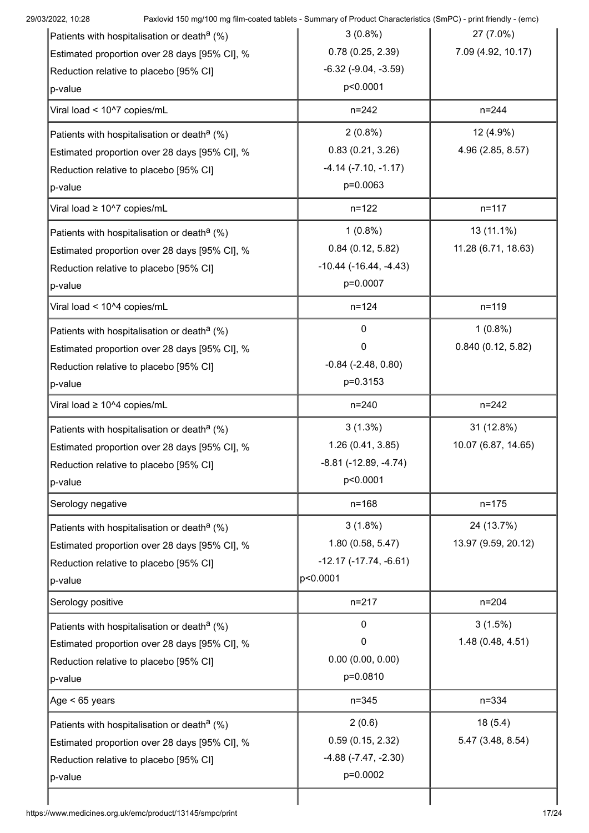| 29/03/2022, 10:28                                                                       | Paxlovid 150 mg/100 mg film-coated tablets - Summary of Product Characteristics (SmPC) - print friendly - (emc) |                     |
|-----------------------------------------------------------------------------------------|-----------------------------------------------------------------------------------------------------------------|---------------------|
| Patients with hospitalisation or death <sup>a</sup> (%)                                 | $3(0.8\%)$                                                                                                      | 27 (7.0%)           |
| Estimated proportion over 28 days [95% CI], %                                           | 0.78(0.25, 2.39)                                                                                                | 7.09 (4.92, 10.17)  |
| Reduction relative to placebo [95% CI]                                                  | $-6.32$ $(-9.04, -3.59)$                                                                                        |                     |
| p-value                                                                                 | p<0.0001                                                                                                        |                     |
| Viral load < 10^7 copies/mL                                                             | $n = 242$                                                                                                       | $n = 244$           |
| Patients with hospitalisation or death <sup>a</sup> (%)                                 | $2(0.8\%)$                                                                                                      | 12 (4.9%)           |
| Estimated proportion over 28 days [95% CI], %                                           | 0.83(0.21, 3.26)                                                                                                | 4.96 (2.85, 8.57)   |
| Reduction relative to placebo [95% CI]                                                  | $-4.14$ $(-7.10, -1.17)$                                                                                        |                     |
| p-value                                                                                 | p=0.0063                                                                                                        |                     |
| Viral load ≥ 10^7 copies/mL                                                             | $n = 122$                                                                                                       | $n = 117$           |
| Patients with hospitalisation or death <sup>a</sup> (%)                                 | $1(0.8\%)$                                                                                                      | 13 (11.1%)          |
| Estimated proportion over 28 days [95% CI], %                                           | 0.84(0.12, 5.82)                                                                                                | 11.28 (6.71, 18.63) |
| Reduction relative to placebo [95% CI]                                                  | $-10.44$ ( $-16.44$ , $-4.43$ )                                                                                 |                     |
| p-value                                                                                 | p=0.0007                                                                                                        |                     |
| Viral load < 10^4 copies/mL                                                             | $n = 124$                                                                                                       | $n = 119$           |
| Patients with hospitalisation or death <sup>a</sup> (%)                                 | $\mathbf{0}$                                                                                                    | $1(0.8\%)$          |
| Estimated proportion over 28 days [95% CI], %                                           | 0                                                                                                               | 0.840(0.12, 5.82)   |
| Reduction relative to placebo [95% CI]                                                  | $-0.84$ $(-2.48, 0.80)$                                                                                         |                     |
| p-value                                                                                 | p=0.3153                                                                                                        |                     |
| Viral load ≥ 10^4 copies/mL                                                             | $n = 240$                                                                                                       | $n = 242$           |
| Patients with hospitalisation or death <sup>a</sup> (%)                                 | $3(1.3\%)$                                                                                                      | 31 (12.8%)          |
| Estimated proportion over 28 days [95% CI], %                                           | 1.26 (0.41, 3.85)                                                                                               | 10.07 (6.87, 14.65) |
| Reduction relative to placebo [95% CI]                                                  | $-8.81$ ( $-12.89$ , $-4.74$ )                                                                                  |                     |
| p-value                                                                                 | p<0.0001                                                                                                        |                     |
| Serology negative                                                                       | $n = 168$                                                                                                       | $n = 175$           |
| Patients with hospitalisation or death <sup>a</sup> (%)                                 | $3(1.8\%)$                                                                                                      | 24 (13.7%)          |
| Estimated proportion over 28 days [95% CI], %                                           | 1.80 (0.58, 5.47)                                                                                               | 13.97 (9.59, 20.12) |
| Reduction relative to placebo [95% CI]                                                  | $-12.17(-17.74, -6.61)$                                                                                         |                     |
| p-value                                                                                 | p<0.0001                                                                                                        |                     |
| Serology positive                                                                       | $n = 217$                                                                                                       | $n = 204$           |
| Patients with hospitalisation or death <sup>a</sup> (%)                                 | 0                                                                                                               | 3(1.5%)             |
| Estimated proportion over 28 days [95% CI], %                                           | 0                                                                                                               | 1.48 (0.48, 4.51)   |
| Reduction relative to placebo [95% CI]                                                  | 0.00(0.00, 0.00)                                                                                                |                     |
| p-value                                                                                 | p=0.0810                                                                                                        |                     |
| Age < 65 years                                                                          | $n = 345$                                                                                                       | $n = 334$           |
| Patients with hospitalisation or death <sup>a</sup> (%)                                 | 2(0.6)                                                                                                          | 18(5.4)             |
|                                                                                         |                                                                                                                 | 5.47 (3.48, 8.54)   |
|                                                                                         | 0.59(0.15, 2.32)                                                                                                |                     |
| Estimated proportion over 28 days [95% CI], %<br>Reduction relative to placebo [95% CI] | $-4.88$ $(-7.47, -2.30)$                                                                                        |                     |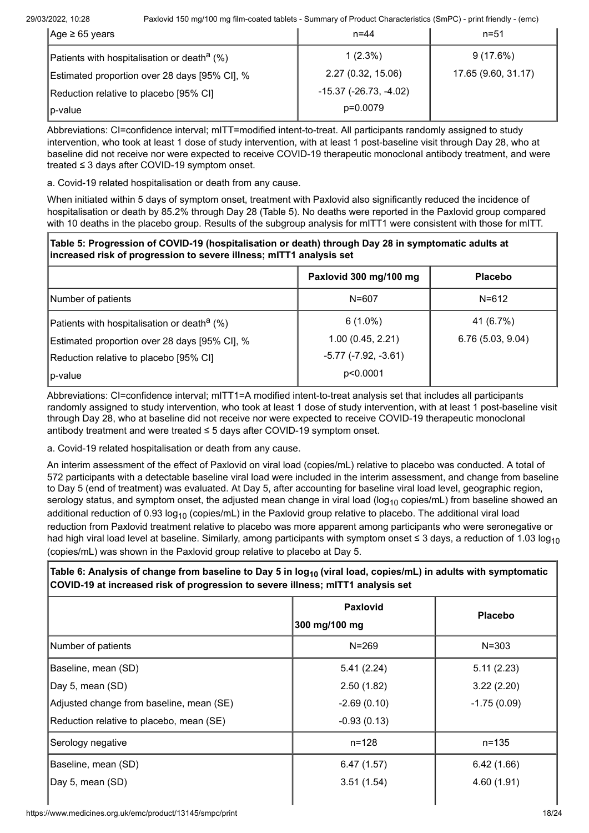| $ Age \geq 65$ years                                    | $n = 44$                        | $n = 51$            |
|---------------------------------------------------------|---------------------------------|---------------------|
| Patients with hospitalisation or death <sup>a</sup> (%) | $1(2.3\%)$                      | $9(17.6\%)$         |
| Estimated proportion over 28 days [95% CI], %           | 2.27 (0.32, 15.06)              | 17.65 (9.60, 31.17) |
| Reduction relative to placebo [95% CI]                  | $-15.37$ ( $-26.73$ , $-4.02$ ) |                     |
| $ p\text{-value} $                                      | p=0.0079                        |                     |

Abbreviations: CI=confidence interval; mITT=modified intent-to-treat. All participants randomly assigned to study intervention, who took at least 1 dose of study intervention, with at least 1 post-baseline visit through Day 28, who at baseline did not receive nor were expected to receive COVID-19 therapeutic monoclonal antibody treatment, and were treated ≤ 3 days after COVID-19 symptom onset.

a. Covid-19 related hospitalisation or death from any cause.

When initiated within 5 days of symptom onset, treatment with Paxlovid also significantly reduced the incidence of hospitalisation or death by 85.2% through Day 28 (Table 5). No deaths were reported in the Paxlovid group compared with 10 deaths in the placebo group. Results of the subgroup analysis for mITT1 were consistent with those for mITT.

**Table 5: Progression of COVID-19 (hospitalisation or death) through Day 28 in symptomatic adults at increased risk of progression to severe illness; mITT1 analysis set**

|                                                                                                                                                    | Paxlovid 300 mg/100 mg                                     | <b>Placebo</b>                 |
|----------------------------------------------------------------------------------------------------------------------------------------------------|------------------------------------------------------------|--------------------------------|
| Number of patients                                                                                                                                 | $N = 607$                                                  | $N = 612$                      |
| Patients with hospitalisation or death <sup>a</sup> (%)<br>Estimated proportion over 28 days [95% CI], %<br>Reduction relative to placebo [95% CI] | $6(1.0\%)$<br>1.00(0.45, 2.21)<br>$-5.77$ $(-7.92, -3.61)$ | 41 (6.7%)<br>6.76 (5.03, 9.04) |
| p-value                                                                                                                                            | p<0.0001                                                   |                                |

Abbreviations: CI=confidence interval; mITT1=A modified intent-to-treat analysis set that includes all participants randomly assigned to study intervention, who took at least 1 dose of study intervention, with at least 1 post-baseline visit through Day 28, who at baseline did not receive nor were expected to receive COVID-19 therapeutic monoclonal antibody treatment and were treated ≤ 5 days after COVID-19 symptom onset.

a. Covid-19 related hospitalisation or death from any cause.

An interim assessment of the effect of Paxlovid on viral load (copies/mL) relative to placebo was conducted. A total of 572 participants with a detectable baseline viral load were included in the interim assessment, and change from baseline to Day 5 (end of treatment) was evaluated. At Day 5, after accounting for baseline viral load level, geographic region, serology status, and symptom onset, the adjusted mean change in viral load (log<sub>10</sub> copies/mL) from baseline showed an additional reduction of 0.93  $log_{10}$  (copies/mL) in the Paxlovid group relative to placebo. The additional viral load reduction from Paxlovid treatment relative to placebo was more apparent among participants who were seronegative or had high viral load level at baseline. Similarly, among participants with symptom onset ≤ 3 days, a reduction of 1.03 log<sub>10</sub> (copies/mL) was shown in the Paxlovid group relative to placebo at Day 5.

# **Table 6: Analysis of change from baseline to Day 5 in log<sup>10</sup> (viral load, copies/mL) in adults with symptomatic COVID-19 at increased risk of progression to severe illness; mITT1 analysis set**

|                                          | <b>Paxlovid</b><br>300 mg/100 mg | <b>Placebo</b> |
|------------------------------------------|----------------------------------|----------------|
| Number of patients                       | $N = 269$                        | $N = 303$      |
| Baseline, mean (SD)                      | 5.41(2.24)                       | 5.11(2.23)     |
| Day 5, mean (SD)                         | 2.50(1.82)                       | 3.22(2.20)     |
| Adjusted change from baseline, mean (SE) | $-2.69(0.10)$                    | $-1.75(0.09)$  |
| Reduction relative to placebo, mean (SE) | $-0.93(0.13)$                    |                |
| Serology negative                        | n=128                            | n=135          |
| Baseline, mean (SD)                      | 6.47(1.57)                       | 6.42(1.66)     |
| Day 5, mean (SD)                         | 3.51(1.54)                       | 4.60(1.91)     |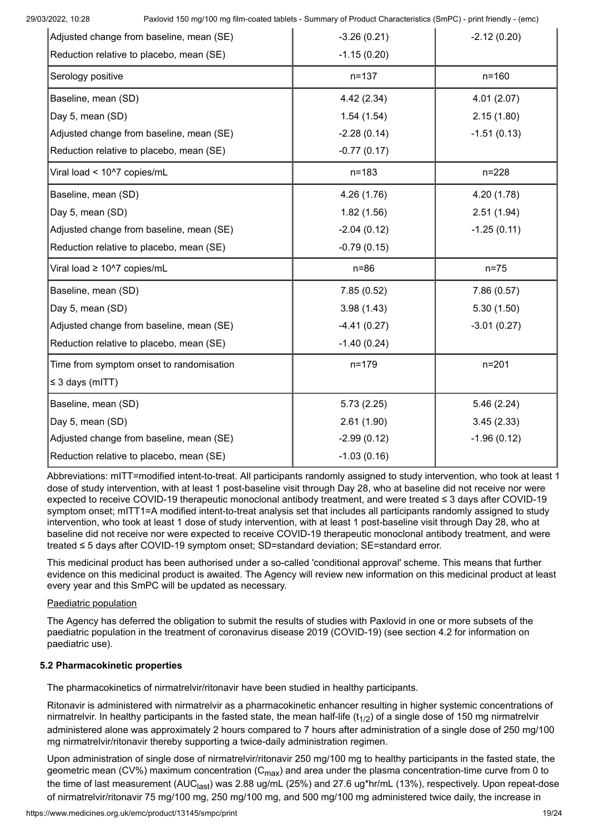| Adjusted change from baseline, mean (SE) | $-3.26(0.21)$ | $-2.12(0.20)$ |
|------------------------------------------|---------------|---------------|
| Reduction relative to placebo, mean (SE) | $-1.15(0.20)$ |               |
| Serology positive                        | $n = 137$     | $n = 160$     |
| Baseline, mean (SD)                      | 4.42(2.34)    | 4.01(2.07)    |
| Day 5, mean (SD)                         | 1.54(1.54)    | 2.15(1.80)    |
| Adjusted change from baseline, mean (SE) | $-2.28(0.14)$ | $-1.51(0.13)$ |
| Reduction relative to placebo, mean (SE) | $-0.77(0.17)$ |               |
| Viral load < 10^7 copies/mL              | $n = 183$     | $n = 228$     |
| Baseline, mean (SD)                      | 4.26 (1.76)   | 4.20 (1.78)   |
| Day 5, mean (SD)                         | 1.82(1.56)    | 2.51(1.94)    |
| Adjusted change from baseline, mean (SE) | $-2.04(0.12)$ | $-1.25(0.11)$ |
| Reduction relative to placebo, mean (SE) | $-0.79(0.15)$ |               |
| Viral load ≥ 10^7 copies/mL              | $n=86$        | $n=75$        |
| Baseline, mean (SD)                      | 7.85(0.52)    | 7.86(0.57)    |
| Day 5, mean (SD)                         | 3.98(1.43)    | 5.30(1.50)    |
| Adjusted change from baseline, mean (SE) | $-4.41(0.27)$ | $-3.01(0.27)$ |
| Reduction relative to placebo, mean (SE) | $-1.40(0.24)$ |               |
| Time from symptom onset to randomisation | $n = 179$     | $n = 201$     |
| $\leq$ 3 days (mITT)                     |               |               |
| Baseline, mean (SD)                      | 5.73(2.25)    | 5.46(2.24)    |
| Day 5, mean (SD)                         | 2.61(1.90)    | 3.45(2.33)    |
| Adjusted change from baseline, mean (SE) | $-2.99(0.12)$ | $-1.96(0.12)$ |
| Reduction relative to placebo, mean (SE) | $-1.03(0.16)$ |               |

Abbreviations: mITT=modified intent-to-treat. All participants randomly assigned to study intervention, who took at least 1 dose of study intervention, with at least 1 post-baseline visit through Day 28, who at baseline did not receive nor were expected to receive COVID-19 therapeutic monoclonal antibody treatment, and were treated ≤ 3 days after COVID-19 symptom onset; mITT1=A modified intent-to-treat analysis set that includes all participants randomly assigned to study intervention, who took at least 1 dose of study intervention, with at least 1 post-baseline visit through Day 28, who at baseline did not receive nor were expected to receive COVID-19 therapeutic monoclonal antibody treatment, and were treated ≤ 5 days after COVID-19 symptom onset; SD=standard deviation; SE=standard error.

This medicinal product has been authorised under a so-called 'conditional approval' scheme. This means that further evidence on this medicinal product is awaited. The Agency will review new information on this medicinal product at least every year and this SmPC will be updated as necessary.

# Paediatric population

The Agency has deferred the obligation to submit the results of studies with Paxlovid in one or more subsets of the paediatric population in the treatment of coronavirus disease 2019 (COVID-19) (see section 4.2 for information on paediatric use).

# **5.2 Pharmacokinetic properties**

The pharmacokinetics of nirmatrelvir/ritonavir have been studied in healthy participants.

Ritonavir is administered with nirmatrelvir as a pharmacokinetic enhancer resulting in higher systemic concentrations of nirmatrelvir. In healthy participants in the fasted state, the mean half-life ( $t_{1/2}$ ) of a single dose of 150 mg nirmatrelvir administered alone was approximately 2 hours compared to 7 hours after administration of a single dose of 250 mg/100 mg nirmatrelvir/ritonavir thereby supporting a twice-daily administration regimen.

Upon administration of single dose of nirmatrelvir/ritonavir 250 mg/100 mg to healthy participants in the fasted state, the geometric mean (CV%) maximum concentration (C<sub>max</sub>) and area under the plasma concentration-time curve from 0 to the time of last measurement (AUC<sub>last</sub>) was 2.88 ug/mL (25%) and 27.6 ug\*hr/mL (13%), respectively. Upon repeat-dose of nirmatrelvir/ritonavir 75 mg/100 mg, 250 mg/100 mg, and 500 mg/100 mg administered twice daily, the increase in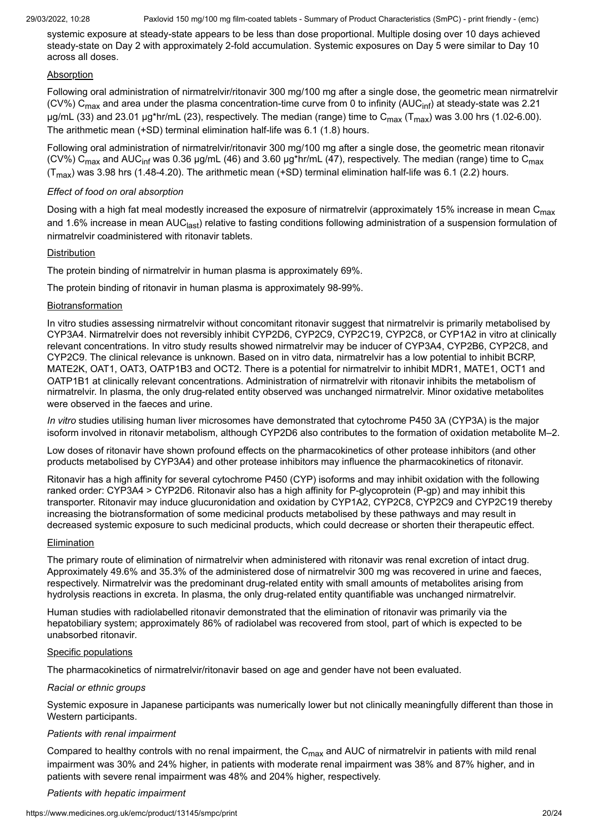systemic exposure at steady-state appears to be less than dose proportional. Multiple dosing over 10 days achieved steady-state on Day 2 with approximately 2-fold accumulation. Systemic exposures on Day 5 were similar to Day 10 across all doses.

### **Absorption**

Following oral administration of nirmatrelvir/ritonavir 300 mg/100 mg after a single dose, the geometric mean nirmatrelvir (CV%) C<sub>max</sub> and area under the plasma concentration-time curve from 0 to infinity (AUC<sub>inf</sub>) at steady-state was 2.21 µg/mL (33) and 23.01 µg\*hr/mL (23), respectively. The median (range) time to C<sub>max</sub> (T<sub>max</sub>) was 3.00 hrs (1.02-6.00). The arithmetic mean (+SD) terminal elimination half-life was 6.1 (1.8) hours.

Following oral administration of nirmatrelvir/ritonavir 300 mg/100 mg after a single dose, the geometric mean ritonavir (CV%) C<sub>max</sub> and AUC<sub>inf</sub> was 0.36 μg/mL (46) and 3.60 μg\*hr/mL (47), respectively. The median (range) time to C<sub>max</sub> (T<sub>max</sub>) was 3.98 hrs (1.48-4.20). The arithmetic mean (+SD) terminal elimination half-life was 6.1 (2.2) hours.

# *Effect of food on oral absorption*

Dosing with a high fat meal modestly increased the exposure of nirmatrelvir (approximately 15% increase in mean C<sub>max</sub> and 1.6% increase in mean AUC<sub>last</sub>) relative to fasting conditions following administration of a suspension formulation of nirmatrelvir coadministered with ritonavir tablets.

### Distribution

The protein binding of nirmatrelvir in human plasma is approximately 69%.

The protein binding of ritonavir in human plasma is approximately 98-99%.

### Biotransformation

In vitro studies assessing nirmatrelvir without concomitant ritonavir suggest that nirmatrelvir is primarily metabolised by CYP3A4. Nirmatrelvir does not reversibly inhibit CYP2D6, CYP2C9, CYP2C19, CYP2C8, or CYP1A2 in vitro at clinically relevant concentrations. In vitro study results showed nirmatrelvir may be inducer of CYP3A4, CYP2B6, CYP2C8, and CYP2C9. The clinical relevance is unknown. Based on in vitro data, nirmatrelvir has a low potential to inhibit BCRP, MATE2K, OAT1, OAT3, OATP1B3 and OCT2. There is a potential for nirmatrelvir to inhibit MDR1, MATE1, OCT1 and OATP1B1 at clinically relevant concentrations. Administration of nirmatrelvir with ritonavir inhibits the metabolism of nirmatrelvir. In plasma, the only drug-related entity observed was unchanged nirmatrelvir. Minor oxidative metabolites were observed in the faeces and urine.

*In vitro* studies utilising human liver microsomes have demonstrated that cytochrome P450 3A (CYP3A) is the major isoform involved in ritonavir metabolism, although CYP2D6 also contributes to the formation of oxidation metabolite M–2.

Low doses of ritonavir have shown profound effects on the pharmacokinetics of other protease inhibitors (and other products metabolised by CYP3A4) and other protease inhibitors may influence the pharmacokinetics of ritonavir.

Ritonavir has a high affinity for several cytochrome P450 (CYP) isoforms and may inhibit oxidation with the following ranked order: CYP3A4 > CYP2D6. Ritonavir also has a high affinity for P-glycoprotein (P-gp) and may inhibit this transporter. Ritonavir may induce glucuronidation and oxidation by CYP1A2, CYP2C8, CYP2C9 and CYP2C19 thereby increasing the biotransformation of some medicinal products metabolised by these pathways and may result in decreased systemic exposure to such medicinal products, which could decrease or shorten their therapeutic effect.

### Elimination

The primary route of elimination of nirmatrelvir when administered with ritonavir was renal excretion of intact drug. Approximately 49.6% and 35.3% of the administered dose of nirmatrelvir 300 mg was recovered in urine and faeces, respectively. Nirmatrelvir was the predominant drug-related entity with small amounts of metabolites arising from hydrolysis reactions in excreta. In plasma, the only drug-related entity quantifiable was unchanged nirmatrelvir.

Human studies with radiolabelled ritonavir demonstrated that the elimination of ritonavir was primarily via the hepatobiliary system; approximately 86% of radiolabel was recovered from stool, part of which is expected to be unabsorbed ritonavir*.*

### Specific populations

The pharmacokinetics of nirmatrelvir/ritonavir based on age and gender have not been evaluated.

### *Racial or ethnic groups*

Systemic exposure in Japanese participants was numerically lower but not clinically meaningfully different than those in Western participants.

# *Patients with renal impairment*

Compared to healthy controls with no renal impairment, the C<sub>max</sub> and AUC of nirmatrelvir in patients with mild renal impairment was 30% and 24% higher, in patients with moderate renal impairment was 38% and 87% higher, and in patients with severe renal impairment was 48% and 204% higher, respectively.

### *Patients with hepatic impairment*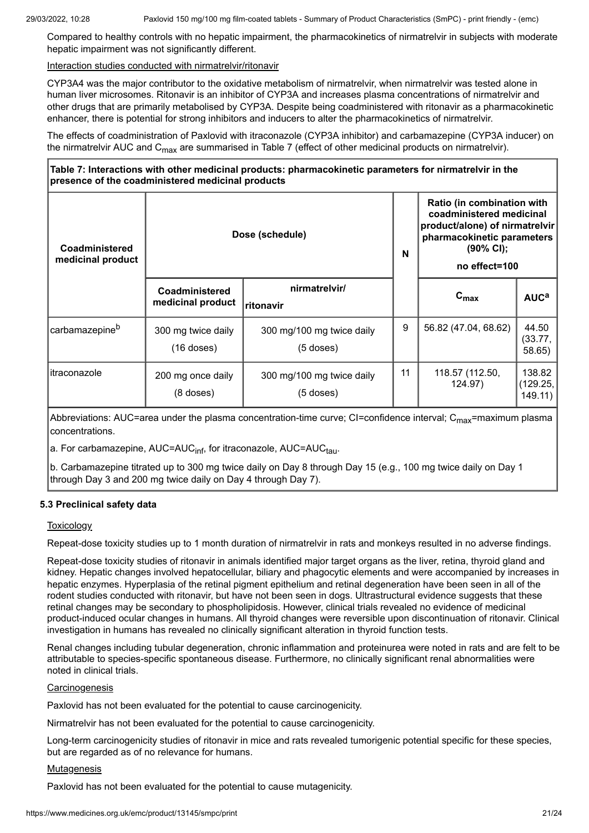Compared to healthy controls with no hepatic impairment, the pharmacokinetics of nirmatrelvir in subjects with moderate hepatic impairment was not significantly different.

#### Interaction studies conducted with nirmatrelvir/ritonavir

CYP3A4 was the major contributor to the oxidative metabolism of nirmatrelvir, when nirmatrelvir was tested alone in human liver microsomes. Ritonavir is an inhibitor of CYP3A and increases plasma concentrations of nirmatrelvir and other drugs that are primarily metabolised by CYP3A. Despite being coadministered with ritonavir as a pharmacokinetic enhancer, there is potential for strong inhibitors and inducers to alter the pharmacokinetics of nirmatrelvir.

The effects of coadministration of Paxlovid with itraconazole (CYP3A inhibitor) and carbamazepine (CYP3A inducer) on the nirmatrelvir AUC and C<sub>max</sub> are summarised in Table 7 (effect of other medicinal products on nirmatrelvir).

# **Table 7: Interactions with other medicinal products: pharmacokinetic parameters for nirmatrelvir in the presence of the coadministered medicinal products**

| Coadministered<br>medicinal product |                                     | Dose (schedule)<br>N                     |    | Ratio (in combination with<br>coadministered medicinal<br>product/alone) of nirmatrelvir<br>pharmacokinetic parameters<br>(90% CI);<br>no effect=100 |                              |
|-------------------------------------|-------------------------------------|------------------------------------------|----|------------------------------------------------------------------------------------------------------------------------------------------------------|------------------------------|
|                                     | Coadministered<br>medicinal product | nirmatrelvir/<br>ritonavir               |    | $c_{\text{max}}$                                                                                                                                     | AUC <sup>a</sup>             |
| carbamazepine <sup>b</sup>          | 300 mg twice daily<br>$(16$ doses)  | 300 mg/100 mg twice daily<br>$(5$ doses) | 9  | 56.82 (47.04, 68.62)                                                                                                                                 | 44.50<br>(33.77, )<br>58.65) |
| ∣itraconazole                       | 200 mg once daily<br>$(8$ doses)    | 300 mg/100 mg twice daily<br>$(5$ doses) | 11 | 118.57 (112.50,<br>124.97)                                                                                                                           | 138.82<br>(129.25,<br>149.11 |

Abbreviations: AUC=area under the plasma concentration-time curve; CI=confidence interval; C<sub>max</sub>=maximum plasma concentrations.

a. For carbamazepine, AUC=AUC<sub>inf</sub>, for itraconazole, AUC=AUC<sub>tau</sub>.

b. Carbamazepine titrated up to 300 mg twice daily on Day 8 through Day 15 (e.g., 100 mg twice daily on Day 1 through Day 3 and 200 mg twice daily on Day 4 through Day 7).

### **5.3 Preclinical safety data**

### **Toxicology**

Repeat-dose toxicity studies up to 1 month duration of nirmatrelvir in rats and monkeys resulted in no adverse findings.

Repeat-dose toxicity studies of ritonavir in animals identified major target organs as the liver, retina, thyroid gland and kidney. Hepatic changes involved hepatocellular, biliary and phagocytic elements and were accompanied by increases in hepatic enzymes. Hyperplasia of the retinal pigment epithelium and retinal degeneration have been seen in all of the rodent studies conducted with ritonavir, but have not been seen in dogs. Ultrastructural evidence suggests that these retinal changes may be secondary to phospholipidosis. However, clinical trials revealed no evidence of medicinal product-induced ocular changes in humans. All thyroid changes were reversible upon discontinuation of ritonavir. Clinical investigation in humans has revealed no clinically significant alteration in thyroid function tests.

Renal changes including tubular degeneration, chronic inflammation and proteinurea were noted in rats and are felt to be attributable to species-specific spontaneous disease. Furthermore, no clinically significant renal abnormalities were noted in clinical trials.

### **Carcinogenesis**

Paxlovid has not been evaluated for the potential to cause carcinogenicity.

Nirmatrelvir has not been evaluated for the potential to cause carcinogenicity.

Long-term carcinogenicity studies of ritonavir in mice and rats revealed tumorigenic potential specific for these species, but are regarded as of no relevance for humans.

#### **Mutagenesis**

Paxlovid has not been evaluated for the potential to cause mutagenicity.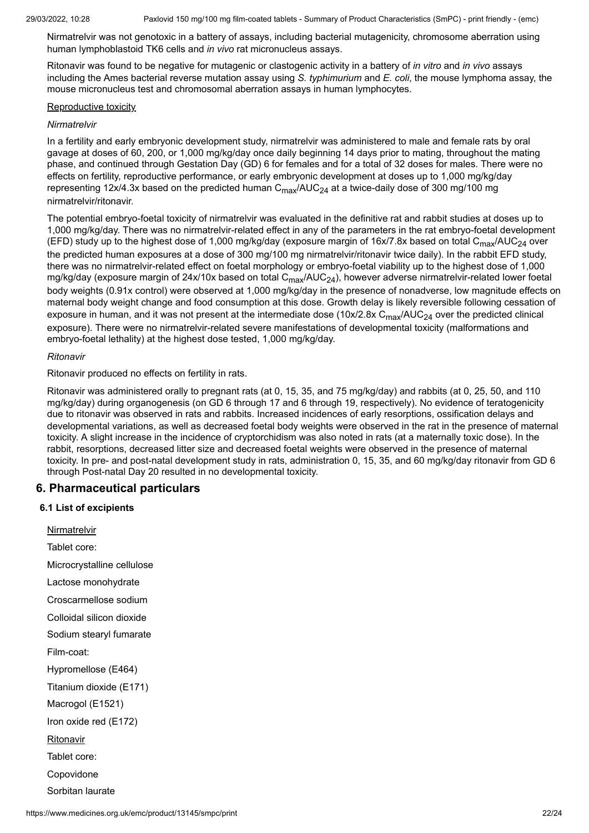Nirmatrelvir was not genotoxic in a battery of assays, including bacterial mutagenicity, chromosome aberration using human lymphoblastoid TK6 cells and *in vivo* rat micronucleus assays.

Ritonavir was found to be negative for mutagenic or clastogenic activity in a battery of *in vitro* and *in vivo* assays including the Ames bacterial reverse mutation assay using *S. typhimurium* and *E. coli*, the mouse lymphoma assay, the mouse micronucleus test and chromosomal aberration assays in human lymphocytes.

#### Reproductive toxicity

#### *Nirmatrelvir*

In a fertility and early embryonic development study, nirmatrelvir was administered to male and female rats by oral gavage at doses of 60, 200, or 1,000 mg/kg/day once daily beginning 14 days prior to mating, throughout the mating phase, and continued through Gestation Day (GD) 6 for females and for a total of 32 doses for males. There were no effects on fertility, reproductive performance, or early embryonic development at doses up to 1,000 mg/kg/day representing 12x/4.3x based on the predicted human  $\textsf{C}_{\textsf{max}}$ /AUC $_{24}$  at a twice-daily dose of 300 mg/100 mg nirmatrelvir/ritonavir.

The potential embryo-foetal toxicity of nirmatrelvir was evaluated in the definitive rat and rabbit studies at doses up to 1,000 mg/kg/day. There was no nirmatrelvir-related effect in any of the parameters in the rat embryo-foetal development (EFD) study up to the highest dose of 1,000 mg/kg/day (exposure margin of 16x/7.8x based on total C<sub>max</sub>/AUC<sub>24</sub> over the predicted human exposures at a dose of 300 mg/100 mg nirmatrelvir/ritonavir twice daily). In the rabbit EFD study, there was no nirmatrelvir-related effect on foetal morphology or embryo-foetal viability up to the highest dose of 1,000 mg/kg/day (exposure margin of 24x/10x based on total C<sub>max</sub>/AUC<sub>24</sub>), however adverse nirmatrelvir-related lower foetal body weights (0.91x control) were observed at 1,000 mg/kg/day in the presence of nonadverse, low magnitude effects on maternal body weight change and food consumption at this dose. Growth delay is likely reversible following cessation of exposure in human, and it was not present at the intermediate dose (10x/2.8x C<sub>max</sub>/AUC<sub>24</sub> over the predicted clinical exposure). There were no nirmatrelvir-related severe manifestations of developmental toxicity (malformations and embryo-foetal lethality) at the highest dose tested, 1,000 mg/kg/day.

#### *Ritonavir*

Ritonavir produced no effects on fertility in rats.

Ritonavir was administered orally to pregnant rats (at 0, 15, 35, and 75 mg/kg/day) and rabbits (at 0, 25, 50, and 110 mg/kg/day) during organogenesis (on GD 6 through 17 and 6 through 19, respectively). No evidence of teratogenicity due to ritonavir was observed in rats and rabbits. Increased incidences of early resorptions, ossification delays and developmental variations, as well as decreased foetal body weights were observed in the rat in the presence of maternal toxicity. A slight increase in the incidence of cryptorchidism was also noted in rats (at a maternally toxic dose). In the rabbit, resorptions, decreased litter size and decreased foetal weights were observed in the presence of maternal toxicity. In pre- and post-natal development study in rats, administration 0, 15, 35, and 60 mg/kg/day ritonavir from GD 6 through Post-natal Day 20 resulted in no developmental toxicity.

# **6. Pharmaceutical particulars**

### **6.1 List of excipients**

**Nirmatrelvir** Tablet core: Microcrystalline cellulose Lactose monohydrate Croscarmellose sodium Colloidal silicon dioxide Sodium stearyl fumarate Film-coat: Hypromellose (E464) Titanium dioxide (E171) Macrogol (E1521) Iron oxide red (E172) Ritonavir Tablet core: Copovidone Sorbitan laurate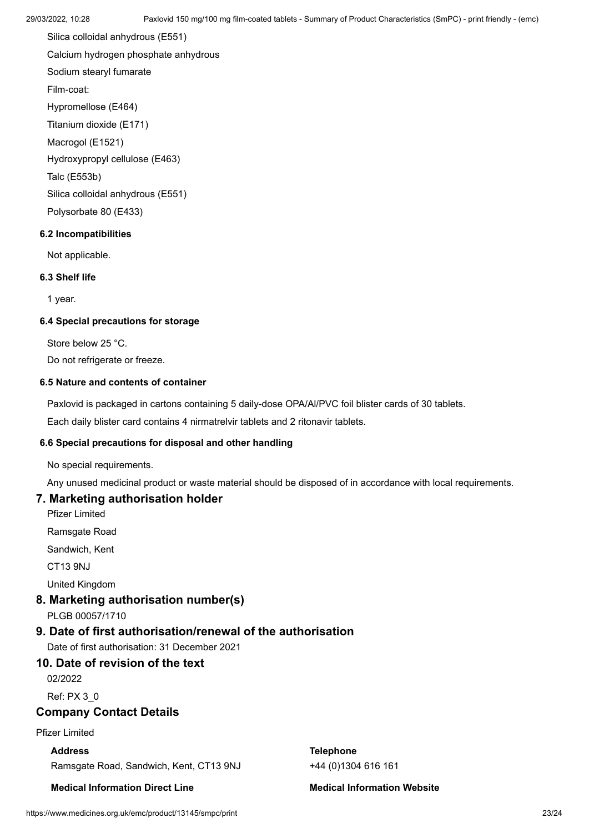Silica colloidal anhydrous (E551) Calcium hydrogen phosphate anhydrous Sodium stearyl fumarate Film-coat: Hypromellose (E464) Titanium dioxide (E171) Macrogol (E1521) Hydroxypropyl cellulose (E463)

Talc (E553b)

Silica colloidal anhydrous (E551)

Polysorbate 80 (E433)

# **6.2 Incompatibilities**

Not applicable.

### **6.3 Shelf life**

1 year.

## **6.4 Special precautions for storage**

Store below 25 °C.

Do not refrigerate or freeze.

# **6.5 Nature and contents of container**

Paxlovid is packaged in cartons containing 5 daily-dose OPA/Al/PVC foil blister cards of 30 tablets.

Each daily blister card contains 4 nirmatrelvir tablets and 2 ritonavir tablets.

### **6.6 Special precautions for disposal and other handling**

No special requirements.

Any unused medicinal product or waste material should be disposed of in accordance with local requirements.

# **7. Marketing authorisation holder**

Pfizer Limited

Ramsgate Road

Sandwich, Kent

CT13 9NJ

United Kingdom

# **8. Marketing authorisation number(s)**

PLGB 00057/1710

# **9. Date of first authorisation/renewal of the authorisation**

Date of first authorisation: 31 December 2021

# **10. Date of revision of the text**

02/2022

Ref: PX 3\_0

# **Company Contact Details**

Pfizer Limited

# **Address**

Ramsgate Road, Sandwich, Kent, CT13 9NJ

**Medical Information Direct Line**

**Telephone** +44 (0)1304 616 161

**Medical Information Website**